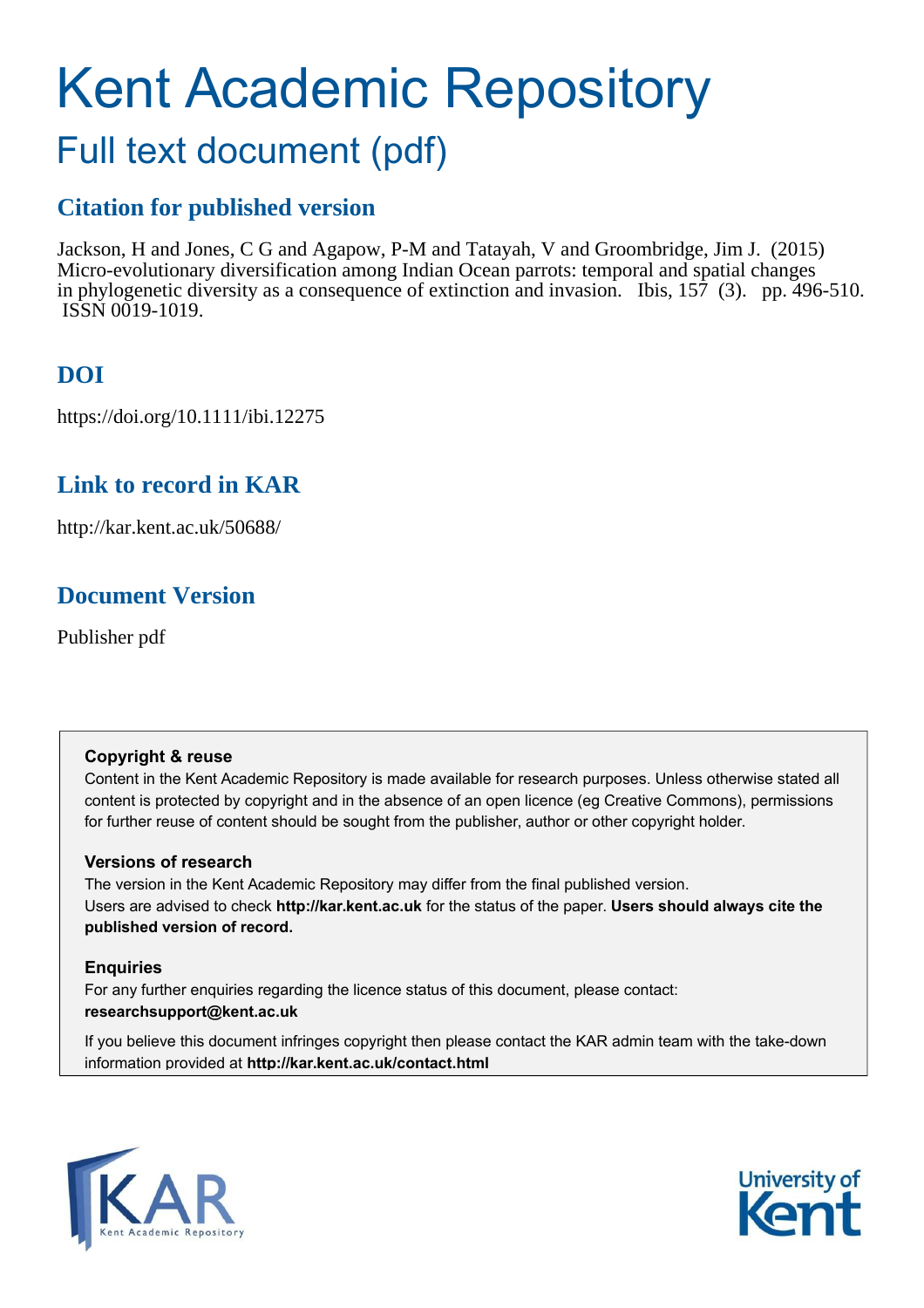# Kent Academic Repository Full text document (pdf)

# **Citation for published version**

Jackson, H and Jones, C G and Agapow, P-M and Tatayah, V and Groombridge, Jim J. (2015) Micro-evolutionary diversification among Indian Ocean parrots: temporal and spatial changes in phylogenetic diversity as a consequence of extinction and invasion. Ibis, 157 (3). pp. 496-510. ISSN 0019-1019.

# **DOI**

https://doi.org/10.1111/ibi.12275

# **Link to record in KAR**

http://kar.kent.ac.uk/50688/

# **Document Version**

Publisher pdf

# **Copyright & reuse**

Content in the Kent Academic Repository is made available for research purposes. Unless otherwise stated all content is protected by copyright and in the absence of an open licence (eg Creative Commons), permissions for further reuse of content should be sought from the publisher, author or other copyright holder.

# **Versions of research**

The version in the Kent Academic Repository may differ from the final published version. Users are advised to check **http://kar.kent.ac.uk** for the status of the paper. **Users should always cite the published version of record.**

# **Enquiries**

For any further enquiries regarding the licence status of this document, please contact: **researchsupport@kent.ac.uk**

If you believe this document infringes copyright then please contact the KAR admin team with the take-down information provided at **http://kar.kent.ac.uk/contact.html**



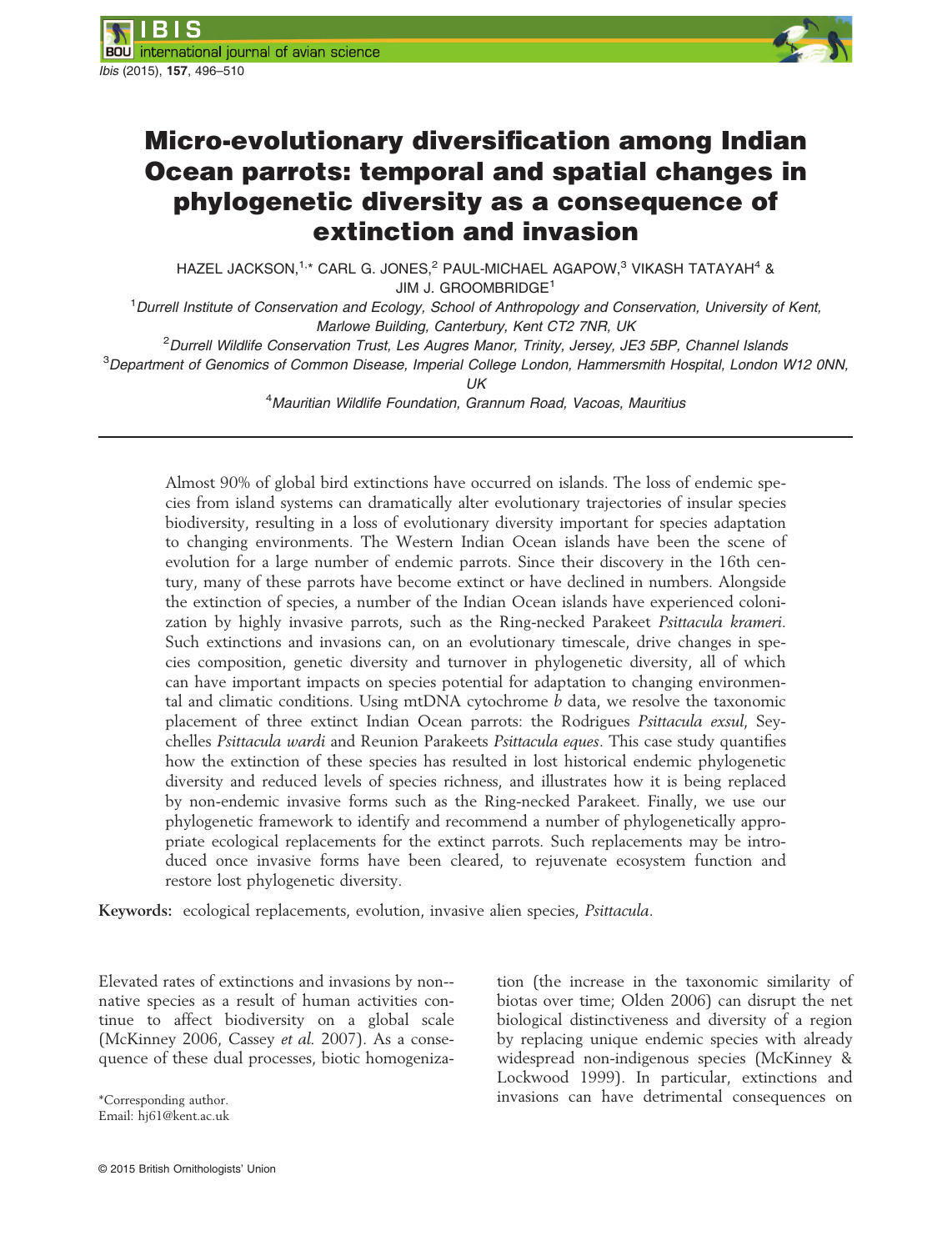

# Micro-evolutionary diversification among Indian Ocean parrots: temporal and spatial changes in phylogenetic diversity as a consequence of extinction and invasion

HAZEL JACKSON,<sup>1,\*</sup> CARL G. JONES,<sup>2</sup> PAUL-MICHAEL AGAPOW,<sup>3</sup> VIKASH TATAYAH<sup>4</sup> & JIM J. GROOMBRIDGE<sup>1</sup>

<sup>1</sup>*Durrell Institute of Conservation and Ecology, School of Anthropology and Conservation, University of Kent, Marlowe Building, Canterbury, Kent CT2 7NR, UK*

<sup>2</sup>*Durrell Wildlife Conservation Trust, Les Augres Manor, Trinity, Jersey, JE3 5BP, Channel Islands*

<sup>3</sup>*Department of Genomics of Common Disease, Imperial College London, Hammersmith Hospital, London W12 0NN,*

*UK*

<sup>4</sup>*Mauritian Wildlife Foundation, Grannum Road, Vacoas, Mauritius*

Almost 90% of global bird extinctions have occurred on islands. The loss of endemic species from island systems can dramatically alter evolutionary trajectories of insular species biodiversity, resulting in a loss of evolutionary diversity important for species adaptation to changing environments. The Western Indian Ocean islands have been the scene of evolution for a large number of endemic parrots. Since their discovery in the 16th century, many of these parrots have become extinct or have declined in numbers. Alongside the extinction of species, a number of the Indian Ocean islands have experienced colonization by highly invasive parrots, such as the Ring-necked Parakeet Psittacula krameri. Such extinctions and invasions can, on an evolutionary timescale, drive changes in species composition, genetic diversity and turnover in phylogenetic diversity, all of which can have important impacts on species potential for adaptation to changing environmental and climatic conditions. Using  $mDNA$  cytochrome  $b$  data, we resolve the taxonomic placement of three extinct Indian Ocean parrots: the Rodrigues Psittacula exsul, Seychelles Psittacula wardi and Reunion Parakeets Psittacula eques. This case study quantifies how the extinction of these species has resulted in lost historical endemic phylogenetic diversity and reduced levels of species richness, and illustrates how it is being replaced by non-endemic invasive forms such as the Ring-necked Parakeet. Finally, we use our phylogenetic framework to identify and recommend a number of phylogenetically appropriate ecological replacements for the extinct parrots. Such replacements may be introduced once invasive forms have been cleared, to rejuvenate ecosystem function and restore lost phylogenetic diversity.

Keywords: ecological replacements, evolution, invasive alien species, Psittacula.

Elevated rates of extinctions and invasions by non- native species as a result of human activities continue to affect biodiversity on a global scale (McKinney 2006, Cassey et al. 2007). As a consequence of these dual processes, biotic homogeniza-

tion (the increase in the taxonomic similarity of biotas over time; Olden 2006) can disrupt the net biological distinctiveness and diversity of a region by replacing unique endemic species with already widespread non-indigenous species (McKinney & Lockwood 1999). In particular, extinctions and \*Corresponding author. invasions can have detrimental consequences on

Email: hj61@kent.ac.uk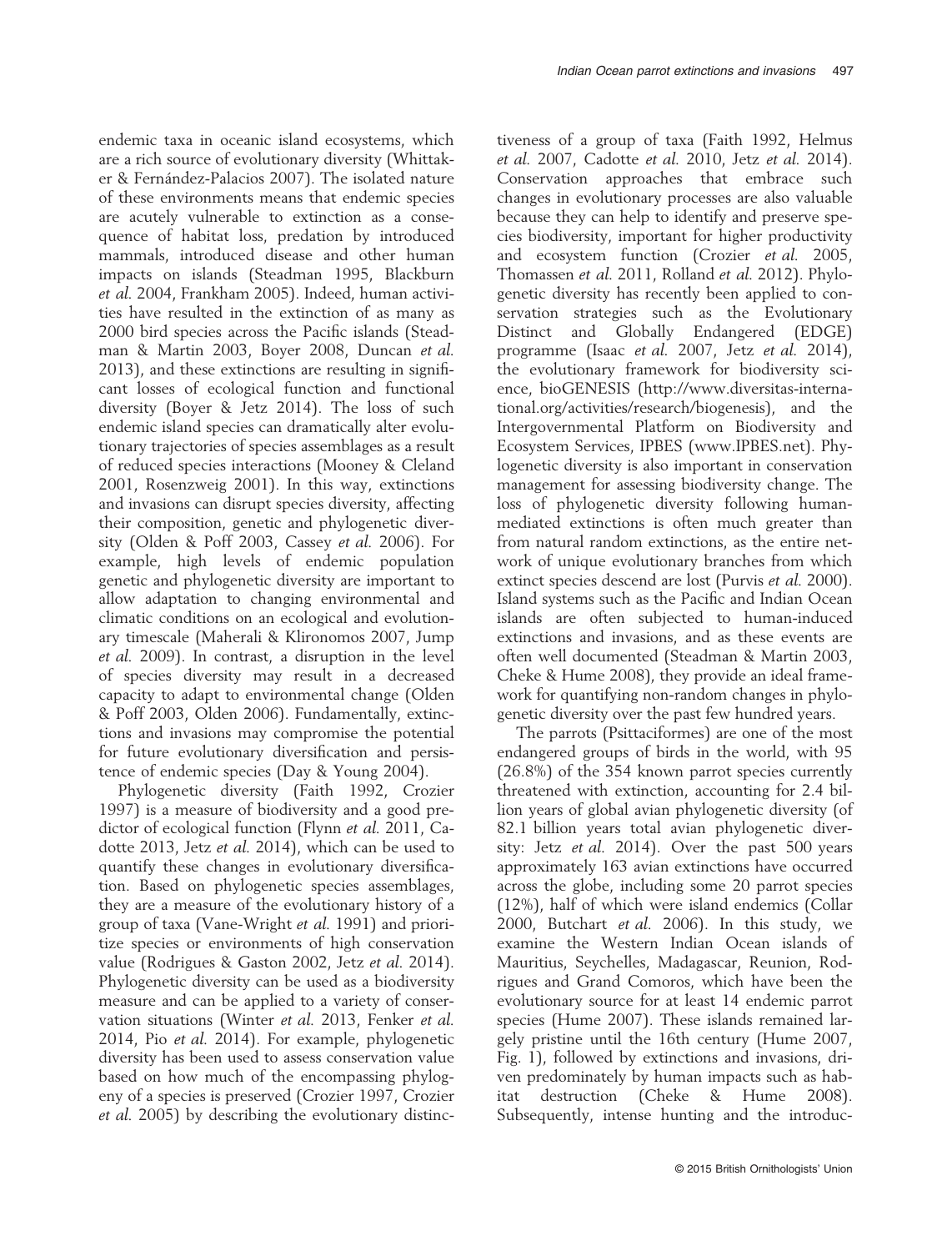endemic taxa in oceanic island ecosystems, which are a rich source of evolutionary diversity (Whittaker & Fernández-Palacios 2007). The isolated nature of these environments means that endemic species are acutely vulnerable to extinction as a consequence of habitat loss, predation by introduced mammals, introduced disease and other human impacts on islands (Steadman 1995, Blackburn et al. 2004, Frankham 2005). Indeed, human activities have resulted in the extinction of as many as 2000 bird species across the Pacific islands (Steadman & Martin 2003, Boyer 2008, Duncan et al. 2013), and these extinctions are resulting in significant losses of ecological function and functional diversity (Boyer & Jetz 2014). The loss of such endemic island species can dramatically alter evolutionary trajectories of species assemblages as a result of reduced species interactions (Mooney & Cleland 2001, Rosenzweig 2001). In this way, extinctions and invasions can disrupt species diversity, affecting their composition, genetic and phylogenetic diversity (Olden & Poff 2003, Cassey et al. 2006). For example, high levels of endemic population genetic and phylogenetic diversity are important to allow adaptation to changing environmental and climatic conditions on an ecological and evolutionary timescale (Maherali & Klironomos 2007, Jump et al. 2009). In contrast, a disruption in the level of species diversity may result in a decreased capacity to adapt to environmental change (Olden & Poff 2003, Olden 2006). Fundamentally, extinctions and invasions may compromise the potential for future evolutionary diversification and persistence of endemic species (Day & Young 2004).

Phylogenetic diversity (Faith 1992, Crozier 1997) is a measure of biodiversity and a good predictor of ecological function (Flynn et al. 2011, Cadotte 2013, Jetz et al. 2014), which can be used to quantify these changes in evolutionary diversification. Based on phylogenetic species assemblages, they are a measure of the evolutionary history of a group of taxa (Vane-Wright et al. 1991) and prioritize species or environments of high conservation value (Rodrigues & Gaston 2002, Jetz et al. 2014). Phylogenetic diversity can be used as a biodiversity measure and can be applied to a variety of conservation situations (Winter et al. 2013, Fenker et al. 2014, Pio et al. 2014). For example, phylogenetic diversity has been used to assess conservation value based on how much of the encompassing phylogeny of a species is preserved (Crozier 1997, Crozier et al. 2005) by describing the evolutionary distinc-

tiveness of a group of taxa (Faith 1992, Helmus et al. 2007, Cadotte et al. 2010, Jetz et al. 2014). Conservation approaches that embrace such changes in evolutionary processes are also valuable because they can help to identify and preserve species biodiversity, important for higher productivity and ecosystem function (Crozier et al. 2005, Thomassen et al. 2011, Rolland et al. 2012). Phylogenetic diversity has recently been applied to conservation strategies such as the Evolutionary Distinct and Globally Endangered (EDGE) programme (Isaac et al. 2007, Jetz et al. 2014), the evolutionary framework for biodiversity science, bioGENESIS ([http://www.diversitas-interna](http://www.diversitas-international.org/activities/research/biogenesis)[tional.org/activities/research/biogenesis\)](http://www.diversitas-international.org/activities/research/biogenesis), and the Intergovernmental Platform on Biodiversity and Ecosystem Services, IPBES [\(www.IPBES.net\)](http://www.IPBES.net). Phylogenetic diversity is also important in conservation management for assessing biodiversity change. The loss of phylogenetic diversity following humanmediated extinctions is often much greater than from natural random extinctions, as the entire network of unique evolutionary branches from which extinct species descend are lost (Purvis et al. 2000). Island systems such as the Pacific and Indian Ocean islands are often subjected to human-induced extinctions and invasions, and as these events are often well documented (Steadman & Martin 2003, Cheke & Hume 2008), they provide an ideal framework for quantifying non-random changes in phylogenetic diversity over the past few hundred years.

The parrots (Psittaciformes) are one of the most endangered groups of birds in the world, with 95 (26.8%) of the 354 known parrot species currently threatened with extinction, accounting for 2.4 billion years of global avian phylogenetic diversity (of 82.1 billion years total avian phylogenetic diversity: Jetz et al. 2014). Over the past 500 years approximately 163 avian extinctions have occurred across the globe, including some 20 parrot species (12%), half of which were island endemics (Collar 2000, Butchart et al. 2006). In this study, we examine the Western Indian Ocean islands of Mauritius, Seychelles, Madagascar, Reunion, Rodrigues and Grand Comoros, which have been the evolutionary source for at least 14 endemic parrot species (Hume 2007). These islands remained largely pristine until the 16th century (Hume 2007, Fig. 1), followed by extinctions and invasions, driven predominately by human impacts such as habitat destruction (Cheke & Hume 2008). Subsequently, intense hunting and the introduc-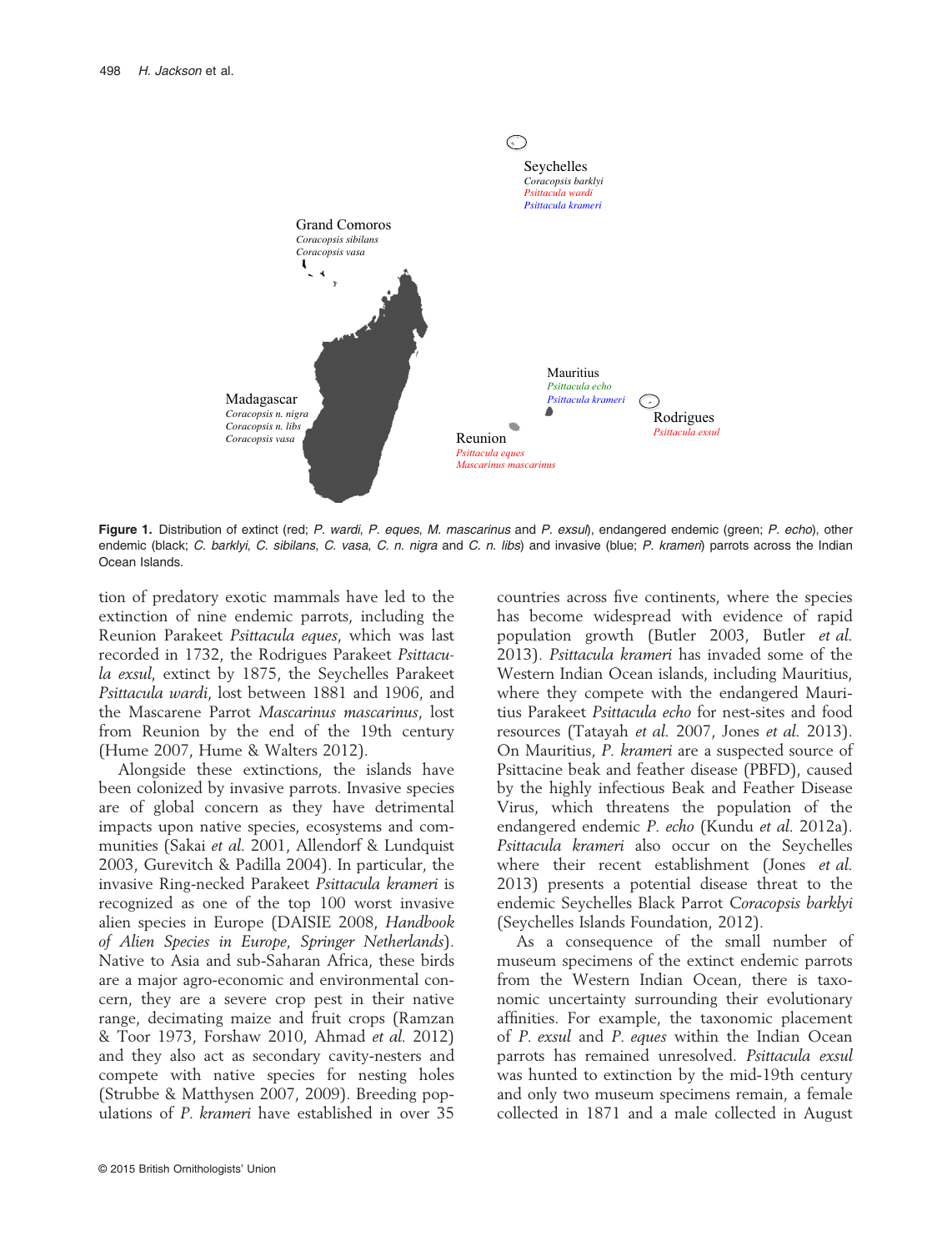

Figure 1. Distribution of extinct (red; *P*. *wardi*, *P*. *eques*, *M*. *mascarinus* and *P*. *exsul*), endangered endemic (green; *P*. *echo*), other endemic (black; *C*. *barklyi*, *C*. *sibilans*, *C*. *vasa*, *C. n*. *nigra* and *C. n*. *libs*) and invasive (blue; *P*. *krameri*) parrots across the Indian Ocean Islands.

tion of predatory exotic mammals have led to the extinction of nine endemic parrots, including the Reunion Parakeet Psittacula eques, which was last recorded in 1732, the Rodrigues Parakeet Psittacula exsul, extinct by 1875, the Seychelles Parakeet Psittacula wardi, lost between 1881 and 1906, and the Mascarene Parrot Mascarinus mascarinus, lost from Reunion by the end of the 19th century (Hume 2007, Hume & Walters 2012).

Alongside these extinctions, the islands have been colonized by invasive parrots. Invasive species are of global concern as they have detrimental impacts upon native species, ecosystems and communities (Sakai et al. 2001, Allendorf & Lundquist 2003, Gurevitch & Padilla 2004). In particular, the invasive Ring-necked Parakeet Psittacula krameri is recognized as one of the top 100 worst invasive alien species in Europe (DAISIE 2008, Handbook of Alien Species in Europe, Springer Netherlands). Native to Asia and sub-Saharan Africa, these birds are a major agro-economic and environmental concern, they are a severe crop pest in their native range, decimating maize and fruit crops (Ramzan & Toor 1973, Forshaw 2010, Ahmad et al. 2012) and they also act as secondary cavity-nesters and compete with native species for nesting holes (Strubbe & Matthysen 2007, 2009). Breeding populations of P. krameri have established in over 35

countries across five continents, where the species has become widespread with evidence of rapid population growth (Butler 2003, Butler et al. 2013). Psittacula krameri has invaded some of the Western Indian Ocean islands, including Mauritius, where they compete with the endangered Mauritius Parakeet Psittacula echo for nest-sites and food resources (Tatayah et al. 2007, Jones et al. 2013). On Mauritius, P. krameri are a suspected source of Psittacine beak and feather disease (PBFD), caused by the highly infectious Beak and Feather Disease Virus, which threatens the population of the endangered endemic P. echo (Kundu et al. 2012a). Psittacula krameri also occur on the Seychelles where their recent establishment (Jones et al. 2013) presents a potential disease threat to the endemic Seychelles Black Parrot Coracopsis barklyi (Seychelles Islands Foundation, 2012).

As a consequence of the small number of museum specimens of the extinct endemic parrots from the Western Indian Ocean, there is taxonomic uncertainty surrounding their evolutionary affinities. For example, the taxonomic placement of P. exsul and P. eques within the Indian Ocean parrots has remained unresolved. Psittacula exsul was hunted to extinction by the mid-19th century and only two museum specimens remain, a female collected in 1871 and a male collected in August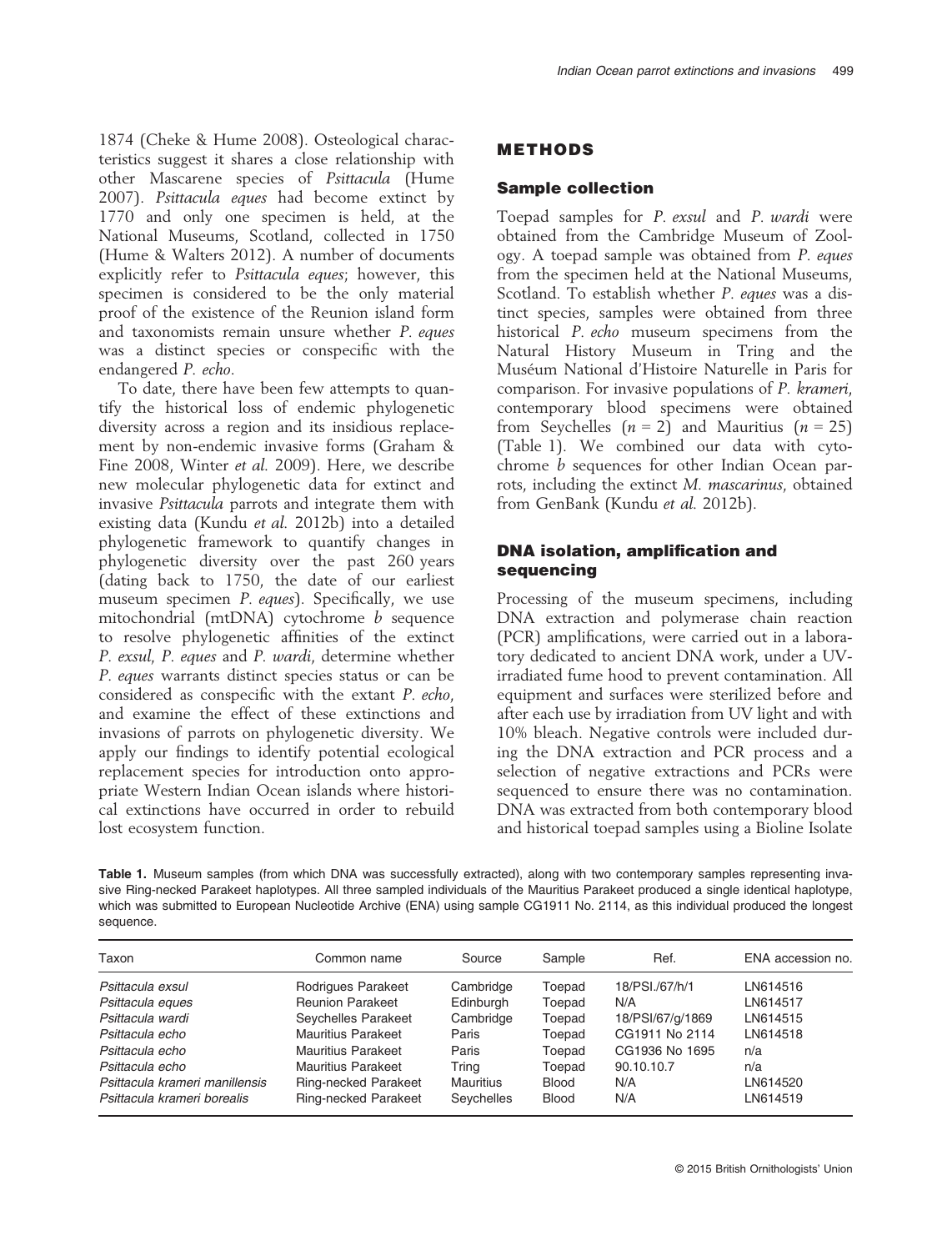1874 (Cheke & Hume 2008). Osteological characteristics suggest it shares a close relationship with other Mascarene species of Psittacula (Hume 2007). Psittacula eques had become extinct by 1770 and only one specimen is held, at the National Museums, Scotland, collected in 1750 (Hume & Walters 2012). A number of documents explicitly refer to Psittacula eques: however, this specimen is considered to be the only material proof of the existence of the Reunion island form and taxonomists remain unsure whether P. eques was a distinct species or conspecific with the endangered P. echo.

To date, there have been few attempts to quantify the historical loss of endemic phylogenetic diversity across a region and its insidious replacement by non-endemic invasive forms (Graham & Fine 2008, Winter et al. 2009). Here, we describe new molecular phylogenetic data for extinct and invasive Psittacula parrots and integrate them with existing data (Kundu et al. 2012b) into a detailed phylogenetic framework to quantify changes in phylogenetic diversity over the past 260 years (dating back to 1750, the date of our earliest museum specimen P. eques). Specifically, we use mitochondrial (mtDNA) cytochrome *b* sequence to resolve phylogenetic affinities of the extinct P. exsul, P. eques and P. wardi, determine whether P. eques warrants distinct species status or can be considered as conspecific with the extant P. echo, and examine the effect of these extinctions and invasions of parrots on phylogenetic diversity. We apply our findings to identify potential ecological replacement species for introduction onto appropriate Western Indian Ocean islands where historical extinctions have occurred in order to rebuild lost ecosystem function.

#### METHODS

#### Sample collection

Toepad samples for P. exsul and P. wardi were obtained from the Cambridge Museum of Zoology. A toepad sample was obtained from P. eques from the specimen held at the National Museums, Scotland. To establish whether P. eques was a distinct species, samples were obtained from three historical P. echo museum specimens from the Natural History Museum in Tring and the Museum National d'Histoire Naturelle in Paris for comparison. For invasive populations of P. krameri, contemporary blood specimens were obtained from Seychelles  $(n = 2)$  and Mauritius  $(n = 25)$ (Table 1). We combined our data with cytochrome b sequences for other Indian Ocean parrots, including the extinct M. mascarinus, obtained from GenBank (Kundu et al. 2012b).

#### DNA isolation, amplification and sequencing

Processing of the museum specimens, including DNA extraction and polymerase chain reaction (PCR) amplifications, were carried out in a laboratory dedicated to ancient DNA work, under a UVirradiated fume hood to prevent contamination. All equipment and surfaces were sterilized before and after each use by irradiation from UV light and with 10% bleach. Negative controls were included during the DNA extraction and PCR process and a selection of negative extractions and PCRs were sequenced to ensure there was no contamination. DNA was extracted from both contemporary blood and historical toepad samples using a Bioline Isolate

Table 1. Museum samples (from which DNA was successfully extracted), along with two contemporary samples representing invasive Ring-necked Parakeet haplotypes. All three sampled individuals of the Mauritius Parakeet produced a single identical haplotype, which was submitted to European Nucleotide Archive (ENA) using sample CG1911 No. 2114, as this individual produced the longest sequence.

| Taxon                          | Common name                 | Source           | Sample       | Ref.             | ENA accession no. |  |  |
|--------------------------------|-----------------------------|------------------|--------------|------------------|-------------------|--|--|
| Psittacula exsul               | Rodrigues Parakeet          | Cambridge        | Toepad       | 18/PSI./67/h/1   | LN614516          |  |  |
| Psittacula eques               | <b>Reunion Parakeet</b>     | Edinburgh        | Toepad       | N/A              | LN614517          |  |  |
| Psittacula wardi               | Seychelles Parakeet         | Cambridge        | Toepad       | 18/PSI/67/g/1869 | LN614515          |  |  |
| Psittacula echo                | Mauritius Parakeet          | Paris            | Toepad       | CG1911 No 2114   | LN614518          |  |  |
| Psittacula echo                | Mauritius Parakeet          | Paris            | Toepad       | CG1936 No 1695   | n/a               |  |  |
| Psittacula echo                | Mauritius Parakeet          | Trina            | Toepad       | 90.10.10.7       | n/a               |  |  |
| Psittacula krameri manillensis | <b>Ring-necked Parakeet</b> | <b>Mauritius</b> | <b>Blood</b> | N/A              | LN614520          |  |  |
| Psittacula krameri borealis    | Ring-necked Parakeet        | Seychelles       | <b>Blood</b> | N/A              | LN614519          |  |  |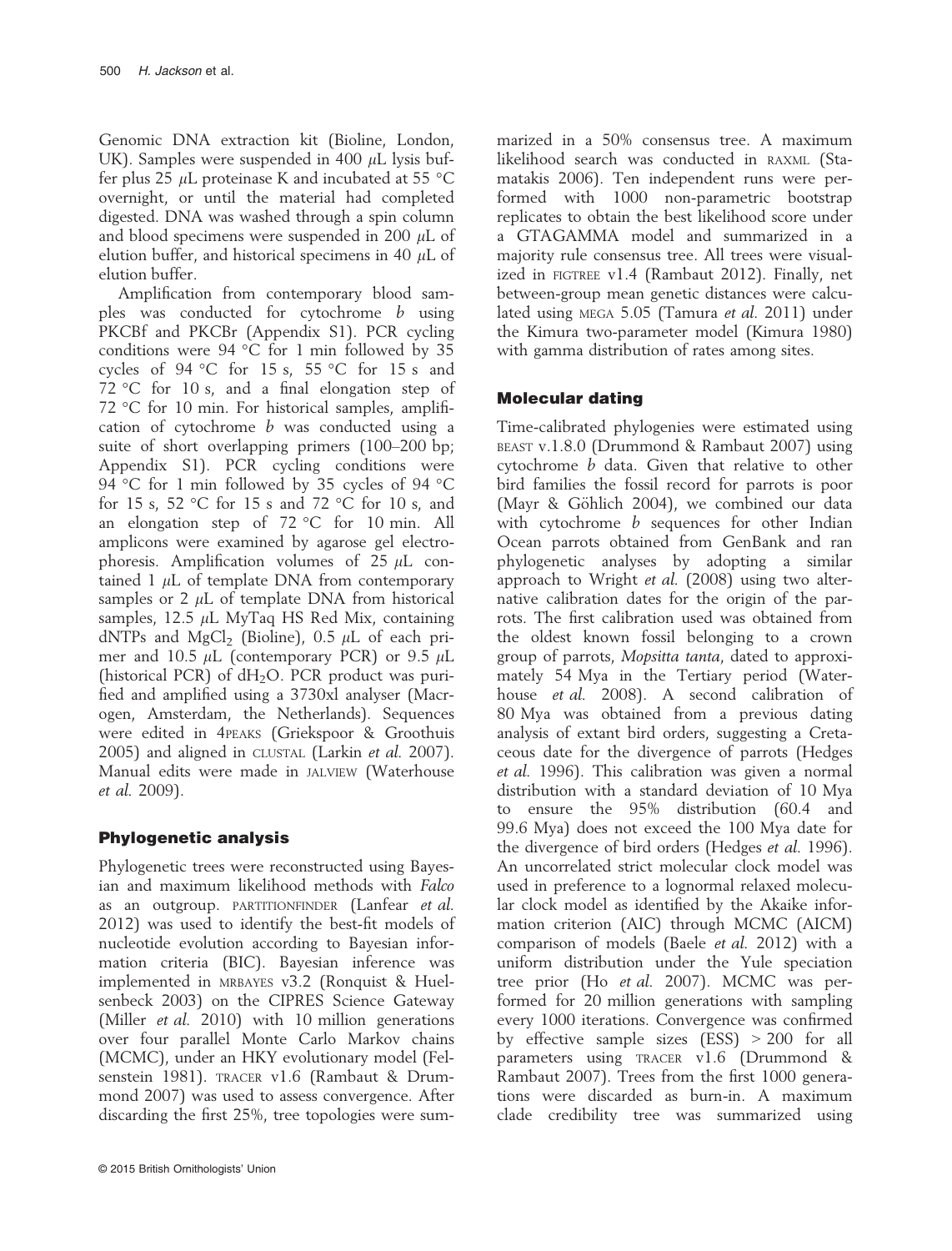Genomic DNA extraction kit (Bioline, London, UK). Samples were suspended in 400  $\mu$ L lysis buffer plus 25  $\mu$ L proteinase K and incubated at 55 °C overnight, or until the material had completed digested. DNA was washed through a spin column and blood specimens were suspended in 200  $\mu$ L of elution buffer, and historical specimens in 40  $\mu$ L of elution buffer.

Amplification from contemporary blood samples was conducted for cytochrome b using PKCBf and PKCBr (Appendix S1). PCR cycling conditions were 94 °C for 1 min followed by 35 cycles of 94 °C for 15 s, 55 °C for 15 s and 72 °C for 10 s, and a final elongation step of 72 °C for 10 min. For historical samples, amplification of cytochrome b was conducted using a suite of short overlapping primers (100–200 bp; Appendix S1). PCR cycling conditions were 94 °C for 1 min followed by 35 cycles of 94 °C for 15 s, 52 °C for 15 s and 72 °C for 10 s, and an elongation step of 72 °C for 10 min. All amplicons were examined by agarose gel electrophoresis. Amplification volumes of  $25 \mu L$  contained 1  $\mu$ L of template DNA from contemporary samples or 2  $\mu$ L of template DNA from historical samples, 12.5  $\mu$ L MyTaq HS Red Mix, containing dNTPs and MgCl<sub>2</sub> (Bioline), 0.5  $\mu$ L of each primer and 10.5  $\mu$ L (contemporary PCR) or 9.5  $\mu$ L (historical PCR) of  $dH_2O$ . PCR product was purified and amplified using a 3730xl analyser (Macrogen, Amsterdam, the Netherlands). Sequences were edited in 4PEAKS (Griekspoor & Groothuis 2005) and aligned in CLUSTAL (Larkin et al. 2007). Manual edits were made in JALVIEW (Waterhouse et al. 2009).

# Phylogenetic analysis

Phylogenetic trees were reconstructed using Bayesian and maximum likelihood methods with Falco as an outgroup. PARTITIONFINDER (Lanfear et al. 2012) was used to identify the best-fit models of nucleotide evolution according to Bayesian information criteria (BIC). Bayesian inference was implemented in MRBAYES v3.2 (Ronquist & Huelsenbeck 2003) on the CIPRES Science Gateway (Miller et al. 2010) with 10 million generations over four parallel Monte Carlo Markov chains (MCMC), under an HKY evolutionary model (Felsenstein 1981). TRACER v1.6 (Rambaut & Drummond 2007) was used to assess convergence. After discarding the first 25%, tree topologies were sum-

marized in a 50% consensus tree. A maximum likelihood search was conducted in RAXML (Stamatakis 2006). Ten independent runs were performed with 1000 non-parametric bootstrap replicates to obtain the best likelihood score under a GTAGAMMA model and summarized in a majority rule consensus tree. All trees were visualized in FIGTREE v1.4 (Rambaut 2012). Finally, net between-group mean genetic distances were calculated using MEGA 5.05 (Tamura et al. 2011) under the Kimura two-parameter model (Kimura 1980) with gamma distribution of rates among sites.

## Molecular dating

Time-calibrated phylogenies were estimated using BEAST v.1.8.0 (Drummond & Rambaut 2007) using cytochrome b data. Given that relative to other bird families the fossil record for parrots is poor (Mayr & Göhlich 2004), we combined our data with cytochrome *b* sequences for other Indian Ocean parrots obtained from GenBank and ran phylogenetic analyses by adopting a similar approach to Wright et al. (2008) using two alternative calibration dates for the origin of the parrots. The first calibration used was obtained from the oldest known fossil belonging to a crown group of parrots, Mopsitta tanta, dated to approximately 54 Mya in the Tertiary period (Waterhouse *et al.* 2008). A second calibration of 80 Mya was obtained from a previous dating analysis of extant bird orders, suggesting a Cretaceous date for the divergence of parrots (Hedges et al. 1996). This calibration was given a normal distribution with a standard deviation of 10 Mya to ensure the 95% distribution (60.4 and 99.6 Mya) does not exceed the 100 Mya date for the divergence of bird orders (Hedges et al. 1996). An uncorrelated strict molecular clock model was used in preference to a lognormal relaxed molecular clock model as identified by the Akaike information criterion (AIC) through MCMC (AICM) comparison of models (Baele et al. 2012) with a uniform distribution under the Yule speciation tree prior (Ho et al. 2007). MCMC was performed for 20 million generations with sampling every 1000 iterations. Convergence was confirmed by effective sample sizes (ESS) > 200 for all parameters using TRACER v1.6 (Drummond & Rambaut 2007). Trees from the first 1000 generations were discarded as burn-in. A maximum clade credibility tree was summarized using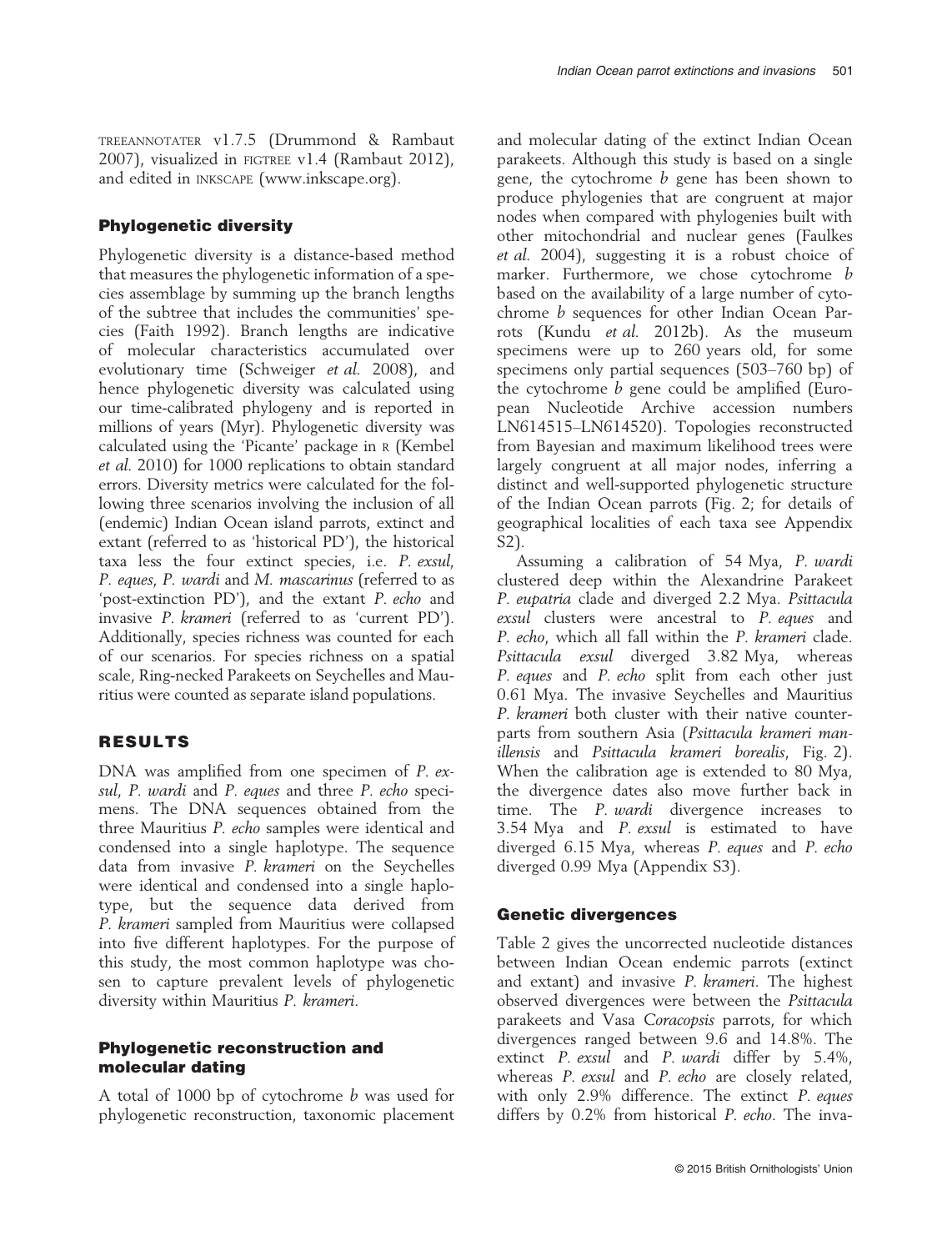TREEANNOTATER v1.7.5 (Drummond & Rambaut 2007), visualized in FIGTREE v1.4 (Rambaut 2012), and edited in INKSCAPE ([www.inkscape.org\)](http://www.inkscape.org).

## Phylogenetic diversity

Phylogenetic diversity is a distance-based method that measures the phylogenetic information of a species assemblage by summing up the branch lengths of the subtree that includes the communities' species (Faith 1992). Branch lengths are indicative of molecular characteristics accumulated over evolutionary time (Schweiger et al. 2008), and hence phylogenetic diversity was calculated using our time-calibrated phylogeny and is reported in millions of years (Myr). Phylogenetic diversity was calculated using the 'Picante' package in <sup>R</sup> (Kembel et al. 2010) for 1000 replications to obtain standard errors. Diversity metrics were calculated for the following three scenarios involving the inclusion of all (endemic) Indian Ocean island parrots, extinct and extant (referred to as 'historical PD'), the historical taxa less the four extinct species, i.e. P. exsul, P. eques, P. wardi and M. mascarinus (referred to as 'post-extinction PD'), and the extant P. echo and invasive P. krameri (referred to as 'current PD'). Additionally, species richness was counted for each of our scenarios. For species richness on a spatial scale, Ring-necked Parakeets on Seychelles and Mauritius were counted as separate island populations.

## RESULTS

DNA was amplified from one specimen of P. exsul, P. wardi and P. eques and three P. echo specimens. The DNA sequences obtained from the three Mauritius P. echo samples were identical and condensed into a single haplotype. The sequence data from invasive P. krameri on the Seychelles were identical and condensed into a single haplotype, but the sequence data derived from P. krameri sampled from Mauritius were collapsed into five different haplotypes. For the purpose of this study, the most common haplotype was chosen to capture prevalent levels of phylogenetic diversity within Mauritius P. krameri.

#### Phylogenetic reconstruction and molecular dating

A total of 1000 bp of cytochrome b was used for phylogenetic reconstruction, taxonomic placement

and molecular dating of the extinct Indian Ocean parakeets. Although this study is based on a single gene, the cytochrome  $b$  gene has been shown to produce phylogenies that are congruent at major nodes when compared with phylogenies built with other mitochondrial and nuclear genes (Faulkes et al. 2004), suggesting it is a robust choice of marker. Furthermore, we chose cytochrome b based on the availability of a large number of cytochrome b sequences for other Indian Ocean Parrots (Kundu et al. 2012b). As the museum specimens were up to 260 years old, for some specimens only partial sequences (503–760 bp) of the cytochrome b gene could be amplified (European Nucleotide Archive accession numbers LN614515–LN614520). Topologies reconstructed from Bayesian and maximum likelihood trees were largely congruent at all major nodes, inferring a distinct and well-supported phylogenetic structure of the Indian Ocean parrots (Fig. 2; for details of geographical localities of each taxa see Appendix S2).

Assuming a calibration of 54 Mya, P. wardi clustered deep within the Alexandrine Parakeet P. eupatria clade and diverged 2.2 Mya. Psittacula exsul clusters were ancestral to P. eques and P. echo, which all fall within the P. krameri clade. Psittacula exsul diverged 3.82 Mya, whereas P. eques and P. echo split from each other just 0.61 Mya. The invasive Seychelles and Mauritius P. krameri both cluster with their native counterparts from southern Asia (Psittacula krameri manillensis and Psittacula krameri borealis, Fig. 2). When the calibration age is extended to 80 Mya, the divergence dates also move further back in time. The *P. wardi* divergence increases to 3.54 Mya and P. exsul is estimated to have diverged 6.15 Mya, whereas P. eques and P. echo diverged 0.99 Mya (Appendix S3).

## Genetic divergences

Table 2 gives the uncorrected nucleotide distances between Indian Ocean endemic parrots (extinct and extant) and invasive P. krameri. The highest observed divergences were between the Psittacula parakeets and Vasa Coracopsis parrots, for which divergences ranged between 9.6 and 14.8%. The extinct P. exsul and P. wardi differ by 5.4%, whereas P. exsul and P. echo are closely related, with only 2.9% difference. The extinct P. eques differs by 0.2% from historical P. echo. The inva-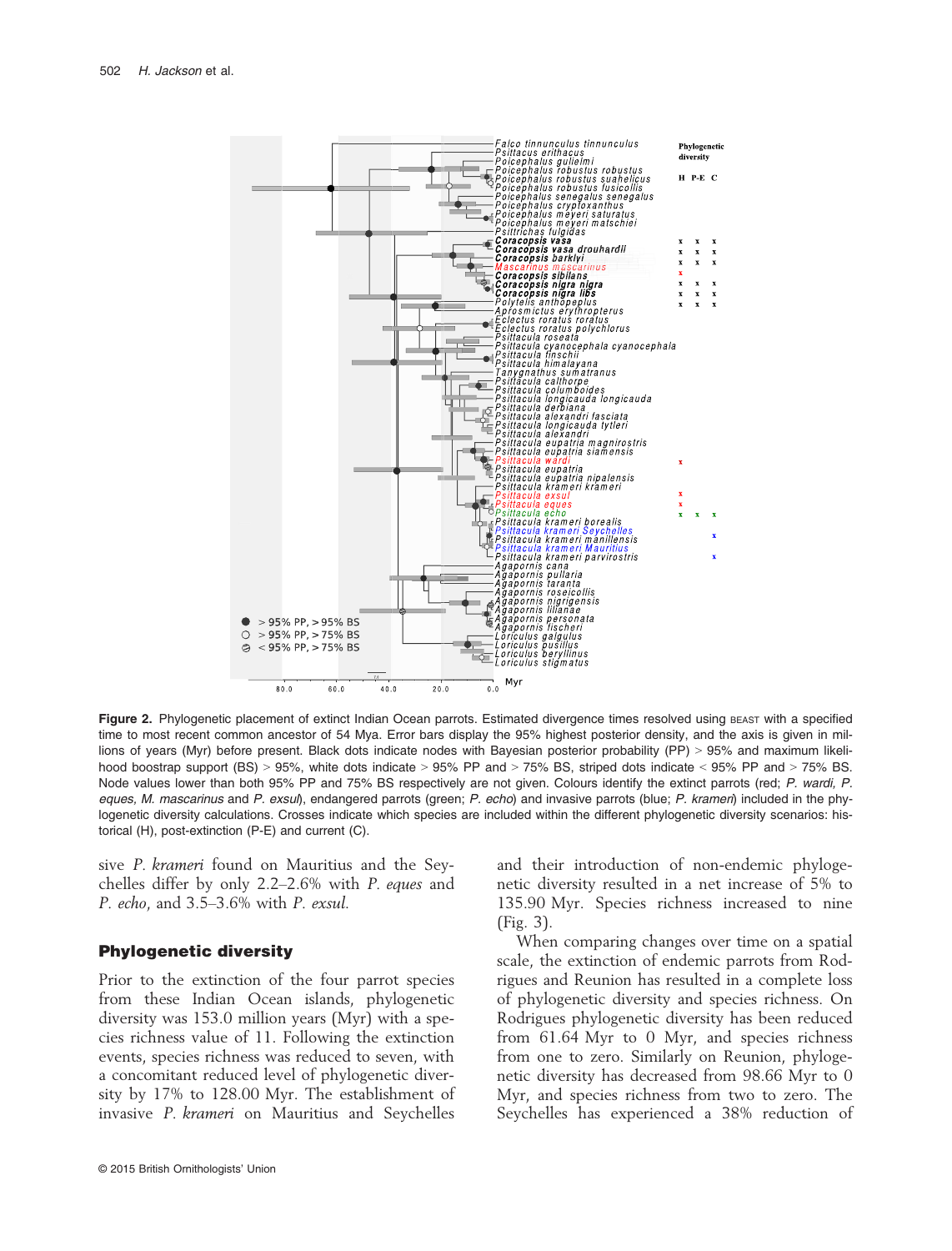

Figure 2. Phylogenetic placement of extinct Indian Ocean parrots. Estimated divergence times resolved using BEAST with a specified time to most recent common ancestor of 54 Mya. Error bars display the 95% highest posterior density, and the axis is given in millions of years (Myr) before present. Black dots indicate nodes with Bayesian posterior probability (PP) > 95% and maximum likelihood boostrap support (BS) > 95%, white dots indicate > 95% PP and > 75% BS, striped dots indicate < 95% PP and > 75% BS. Node values lower than both 95% PP and 75% BS respectively are not given. Colours identify the extinct parrots (red; *P. wardi, P. eques, M. mascarinus* and *P. exsul*), endangered parrots (green; *P. echo*) and invasive parrots (blue; *P. krameri*) included in the phylogenetic diversity calculations. Crosses indicate which species are included within the different phylogenetic diversity scenarios: historical (H), post-extinction (P-E) and current (C).

sive P. krameri found on Mauritius and the Seychelles differ by only 2.2–2.6% with P. eques and P. echo, and 3.5–3.6% with P. exsul.

#### Phylogenetic diversity

Prior to the extinction of the four parrot species from these Indian Ocean islands, phylogenetic diversity was 153.0 million years (Myr) with a species richness value of 11. Following the extinction events, species richness was reduced to seven, with a concomitant reduced level of phylogenetic diversity by 17% to 128.00 Myr. The establishment of invasive P. krameri on Mauritius and Seychelles and their introduction of non-endemic phylogenetic diversity resulted in a net increase of 5% to 135.90 Myr. Species richness increased to nine (Fig. 3).

When comparing changes over time on a spatial scale, the extinction of endemic parrots from Rodrigues and Reunion has resulted in a complete loss of phylogenetic diversity and species richness. On Rodrigues phylogenetic diversity has been reduced from 61.64 Myr to 0 Myr, and species richness from one to zero. Similarly on Reunion, phylogenetic diversity has decreased from 98.66 Myr to 0 Myr, and species richness from two to zero. The Seychelles has experienced a 38% reduction of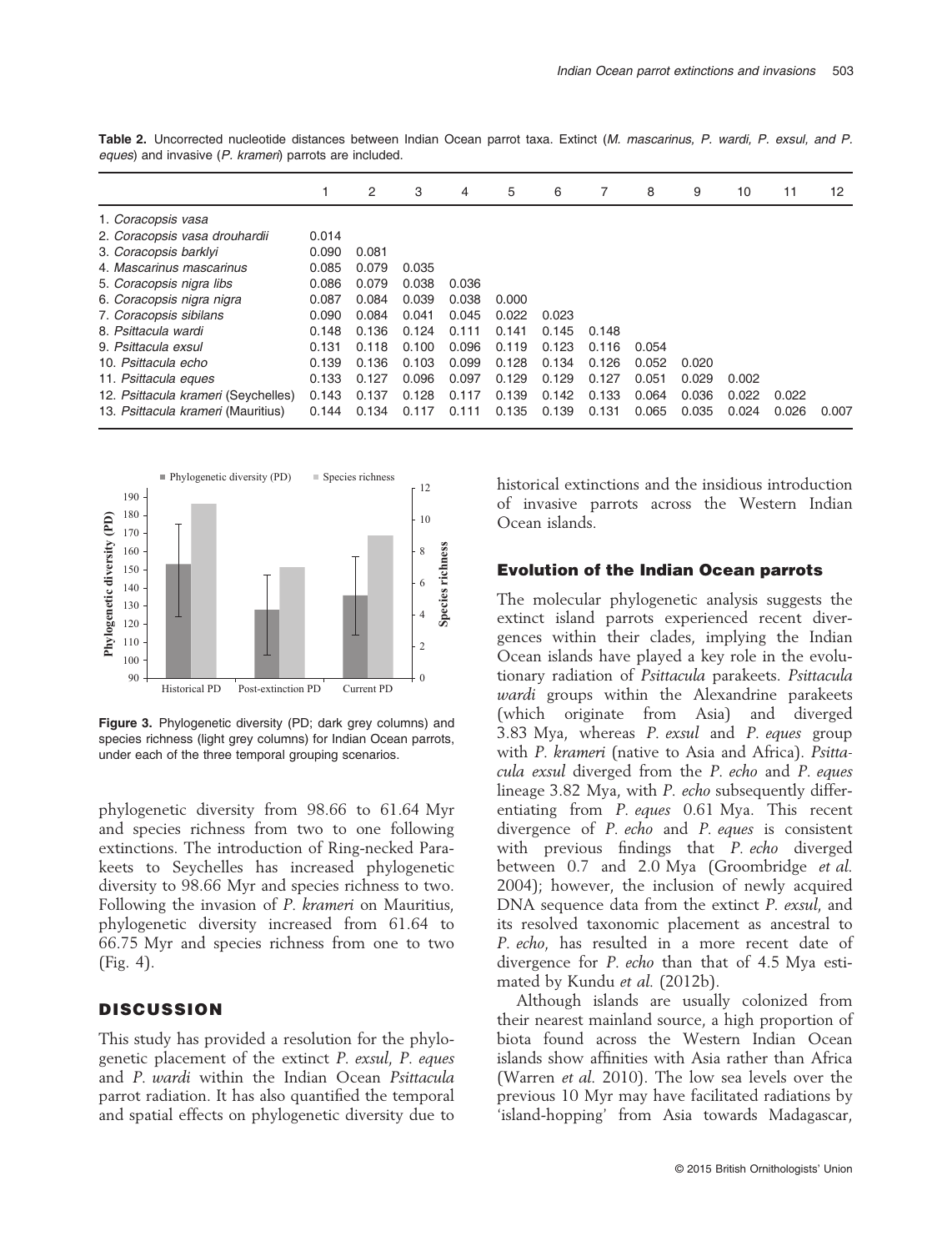|                                     |       | 2     | 3     | 4     | 5     | 6     | 7     | 8     | 9     | 10    | 11    | 12    |
|-------------------------------------|-------|-------|-------|-------|-------|-------|-------|-------|-------|-------|-------|-------|
| 1. Coracopsis vasa                  |       |       |       |       |       |       |       |       |       |       |       |       |
| 2. Coracopsis vasa drouhardii       | 0.014 |       |       |       |       |       |       |       |       |       |       |       |
| 3. Coracopsis barklyi               | 0.090 | 0.081 |       |       |       |       |       |       |       |       |       |       |
| 4. Mascarinus mascarinus            | 0.085 | 0.079 | 0.035 |       |       |       |       |       |       |       |       |       |
| 5. Coracopsis nigra libs            | 0.086 | 0.079 | 0.038 | 0.036 |       |       |       |       |       |       |       |       |
| 6. Coracopsis nigra nigra           | 0.087 | 0.084 | 0.039 | 0.038 | 0.000 |       |       |       |       |       |       |       |
| 7. Coracopsis sibilans              | 0.090 | 0.084 | 0.041 | 0.045 | 0.022 | 0.023 |       |       |       |       |       |       |
| 8. Psittacula wardi                 | 0.148 | 0.136 | 0.124 | 0.111 | 0.141 | 0.145 | 0.148 |       |       |       |       |       |
| 9. Psittacula exsul                 | 0.131 | 0.118 | 0.100 | 0.096 | 0.119 | 0.123 | 0.116 | 0.054 |       |       |       |       |
| 10. Psittacula echo                 | 0.139 | 0.136 | 0.103 | 0.099 | 0.128 | 0.134 | 0.126 | 0.052 | 0.020 |       |       |       |
| 11. Psittacula eques                | 0.133 | 0.127 | 0.096 | 0.097 | 0.129 | 0.129 | 0.127 | 0.051 | 0.029 | 0.002 |       |       |
| 12. Psittacula krameri (Seychelles) | 0.143 | 0.137 | 0.128 | 0.117 | 0.139 | 0.142 | 0.133 | 0.064 | 0.036 | 0.022 | 0.022 |       |
| 13. Psittacula krameri (Mauritius)  | 0.144 | 0.134 | 0.117 | 0.111 | 0.135 | 0.139 | 0.131 | 0.065 | 0.035 | 0.024 | 0.026 | 0.007 |

Table 2. Uncorrected nucleotide distances between Indian Ocean parrot taxa. Extinct (*M. mascarinus, P. wardi, P. exsul, and P. eques*) and invasive (*P. krameri*) parrots are included.



Figure 3. Phylogenetic diversity (PD; dark grey columns) and species richness (light grey columns) for Indian Ocean parrots, under each of the three temporal grouping scenarios.

phylogenetic diversity from 98.66 to 61.64 Myr and species richness from two to one following extinctions. The introduction of Ring-necked Parakeets to Seychelles has increased phylogenetic diversity to 98.66 Myr and species richness to two. Following the invasion of P. krameri on Mauritius, phylogenetic diversity increased from 61.64 to 66.75 Myr and species richness from one to two (Fig. 4).

#### **DISCUSSION**

This study has provided a resolution for the phylogenetic placement of the extinct P. exsul, P. eques and P. wardi within the Indian Ocean Psittacula parrot radiation. It has also quantified the temporal and spatial effects on phylogenetic diversity due to historical extinctions and the insidious introduction of invasive parrots across the Western Indian Ocean islands.

#### Evolution of the Indian Ocean parrots

The molecular phylogenetic analysis suggests the extinct island parrots experienced recent divergences within their clades, implying the Indian Ocean islands have played a key role in the evolutionary radiation of Psittacula parakeets. Psittacula wardi groups within the Alexandrine parakeets (which originate from Asia) and diverged 3.83 Mya, whereas P. exsul and P. eques group with P. krameri (native to Asia and Africa). Psittacula exsul diverged from the P. echo and P. eques lineage 3.82 Mya, with P. echo subsequently differentiating from P. eques 0.61 Mya. This recent divergence of P. echo and P. eques is consistent with previous findings that *P. echo* diverged between 0.7 and 2.0 Mya (Groombridge *et al.*) 2004); however, the inclusion of newly acquired DNA sequence data from the extinct P. exsul, and its resolved taxonomic placement as ancestral to P. echo, has resulted in a more recent date of divergence for P. echo than that of 4.5 Mya estimated by Kundu et al. (2012b).

Although islands are usually colonized from their nearest mainland source, a high proportion of biota found across the Western Indian Ocean islands show affinities with Asia rather than Africa (Warren et al. 2010). The low sea levels over the previous 10 Myr may have facilitated radiations by 'island-hopping' from Asia towards Madagascar,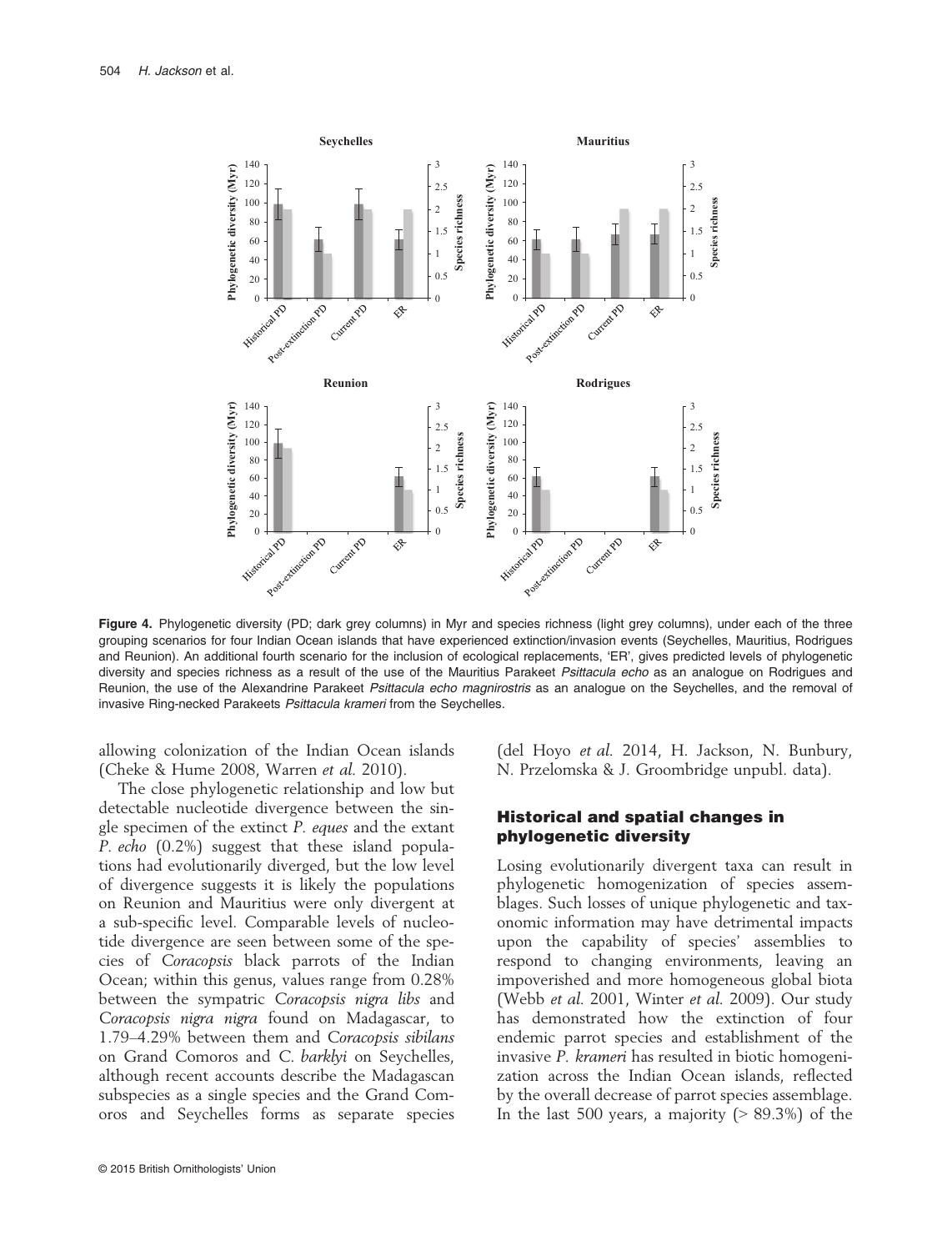

Figure 4. Phylogenetic diversity (PD; dark grey columns) in Myr and species richness (light grey columns), under each of the three grouping scenarios for four Indian Ocean islands that have experienced extinction/invasion events (Seychelles, Mauritius, Rodrigues and Reunion). An additional fourth scenario for the inclusion of ecological replacements, 'ER', gives predicted levels of phylogenetic diversity and species richness as a result of the use of the Mauritius Parakeet *Psittacula echo* as an analogue on Rodrigues and Reunion, the use of the Alexandrine Parakeet *Psittacula echo magnirostris* as an analogue on the Seychelles, and the removal of invasive Ring-necked Parakeets *Psittacula krameri* from the Seychelles.

allowing colonization of the Indian Ocean islands (Cheke & Hume 2008, Warren et al. 2010).

The close phylogenetic relationship and low but detectable nucleotide divergence between the single specimen of the extinct P. eques and the extant P. echo (0.2%) suggest that these island populations had evolutionarily diverged, but the low level of divergence suggests it is likely the populations on Reunion and Mauritius were only divergent at a sub-specific level. Comparable levels of nucleotide divergence are seen between some of the species of Coracopsis black parrots of the Indian Ocean; within this genus, values range from 0.28% between the sympatric Coracopsis nigra libs and Coracopsis nigra nigra found on Madagascar, to 1.79–4.29% between them and Coracopsis sibilans on Grand Comoros and C. barklyi on Seychelles, although recent accounts describe the Madagascan subspecies as a single species and the Grand Comoros and Seychelles forms as separate species

© 2015 British Ornithologists' Union

(del Hoyo et al. 2014, H. Jackson, N. Bunbury, N. Przelomska & J. Groombridge unpubl. data).

#### Historical and spatial changes in phylogenetic diversity

Losing evolutionarily divergent taxa can result in phylogenetic homogenization of species assemblages. Such losses of unique phylogenetic and taxonomic information may have detrimental impacts upon the capability of species' assemblies to respond to changing environments, leaving an impoverished and more homogeneous global biota (Webb et al. 2001, Winter et al. 2009). Our study has demonstrated how the extinction of four endemic parrot species and establishment of the invasive P. krameri has resulted in biotic homogenization across the Indian Ocean islands, reflected by the overall decrease of parrot species assemblage. In the last 500 years, a majority  $(> 89.3\%)$  of the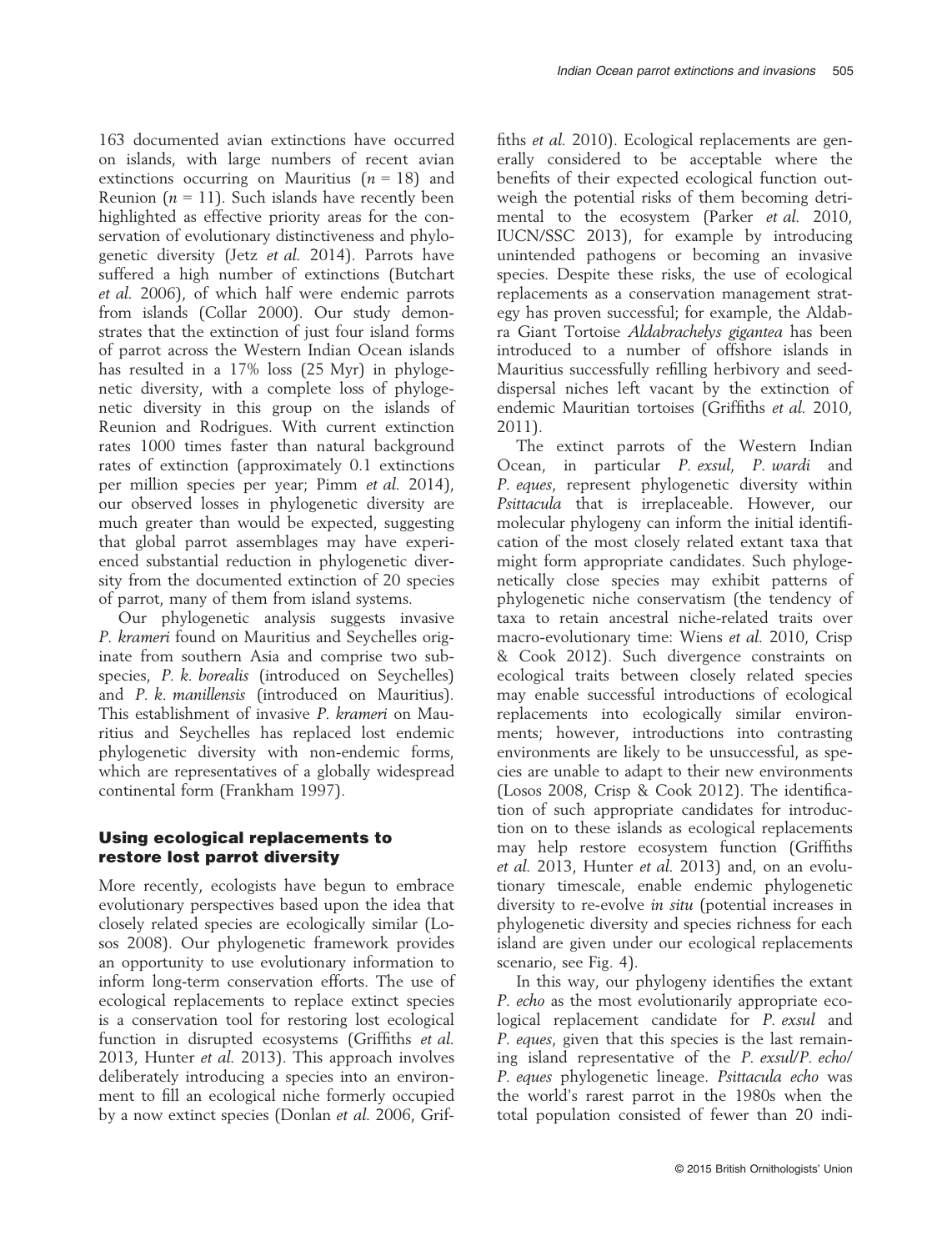163 documented avian extinctions have occurred on islands, with large numbers of recent avian extinctions occurring on Mauritius  $(n = 18)$  and Reunion ( $n = 11$ ). Such islands have recently been highlighted as effective priority areas for the conservation of evolutionary distinctiveness and phylogenetic diversity (Jetz et al. 2014). Parrots have suffered a high number of extinctions (Butchart et al. 2006), of which half were endemic parrots from islands (Collar 2000). Our study demonstrates that the extinction of just four island forms of parrot across the Western Indian Ocean islands has resulted in a 17% loss (25 Myr) in phylogenetic diversity, with a complete loss of phylogenetic diversity in this group on the islands of Reunion and Rodrigues. With current extinction rates 1000 times faster than natural background rates of extinction (approximately 0.1 extinctions per million species per year; Pimm et al. 2014), our observed losses in phylogenetic diversity are much greater than would be expected, suggesting that global parrot assemblages may have experienced substantial reduction in phylogenetic diversity from the documented extinction of 20 species of parrot, many of them from island systems.

Our phylogenetic analysis suggests invasive P. krameri found on Mauritius and Seychelles originate from southern Asia and comprise two subspecies, P. k. borealis (introduced on Seychelles) and P. k. manillensis (introduced on Mauritius). This establishment of invasive P. krameri on Mauritius and Seychelles has replaced lost endemic phylogenetic diversity with non-endemic forms, which are representatives of a globally widespread continental form (Frankham 1997).

## Using ecological replacements to restore lost parrot diversity

More recently, ecologists have begun to embrace evolutionary perspectives based upon the idea that closely related species are ecologically similar (Losos 2008). Our phylogenetic framework provides an opportunity to use evolutionary information to inform long-term conservation efforts. The use of ecological replacements to replace extinct species is a conservation tool for restoring lost ecological function in disrupted ecosystems (Griffiths et al. 2013, Hunter et al. 2013). This approach involves deliberately introducing a species into an environment to fill an ecological niche formerly occupied by a now extinct species (Donlan et al. 2006, Griffiths *et al.* 2010). Ecological replacements are generally considered to be acceptable where the benefits of their expected ecological function outweigh the potential risks of them becoming detrimental to the ecosystem (Parker et al. 2010, IUCN/SSC 2013), for example by introducing unintended pathogens or becoming an invasive species. Despite these risks, the use of ecological replacements as a conservation management strategy has proven successful; for example, the Aldabra Giant Tortoise Aldabrachelys gigantea has been introduced to a number of offshore islands in Mauritius successfully refilling herbivory and seeddispersal niches left vacant by the extinction of endemic Mauritian tortoises (Griffiths et al. 2010, 2011).

The extinct parrots of the Western Indian Ocean, in particular P. exsul, P. wardi and P. eques, represent phylogenetic diversity within Psittacula that is irreplaceable. However, our molecular phylogeny can inform the initial identification of the most closely related extant taxa that might form appropriate candidates. Such phylogenetically close species may exhibit patterns of phylogenetic niche conservatism (the tendency of taxa to retain ancestral niche-related traits over macro-evolutionary time: Wiens et al. 2010, Crisp & Cook 2012). Such divergence constraints on ecological traits between closely related species may enable successful introductions of ecological replacements into ecologically similar environments; however, introductions into contrasting environments are likely to be unsuccessful, as species are unable to adapt to their new environments (Losos 2008, Crisp & Cook 2012). The identification of such appropriate candidates for introduction on to these islands as ecological replacements may help restore ecosystem function (Griffiths et al. 2013, Hunter et al. 2013) and, on an evolutionary timescale, enable endemic phylogenetic diversity to re-evolve in situ (potential increases in phylogenetic diversity and species richness for each island are given under our ecological replacements scenario, see Fig. 4).

In this way, our phylogeny identifies the extant P. echo as the most evolutionarily appropriate ecological replacement candidate for P. exsul and P. eques, given that this species is the last remaining island representative of the P. exsul/P. echo/ P. eques phylogenetic lineage. Psittacula echo was the world's rarest parrot in the 1980s when the total population consisted of fewer than 20 indi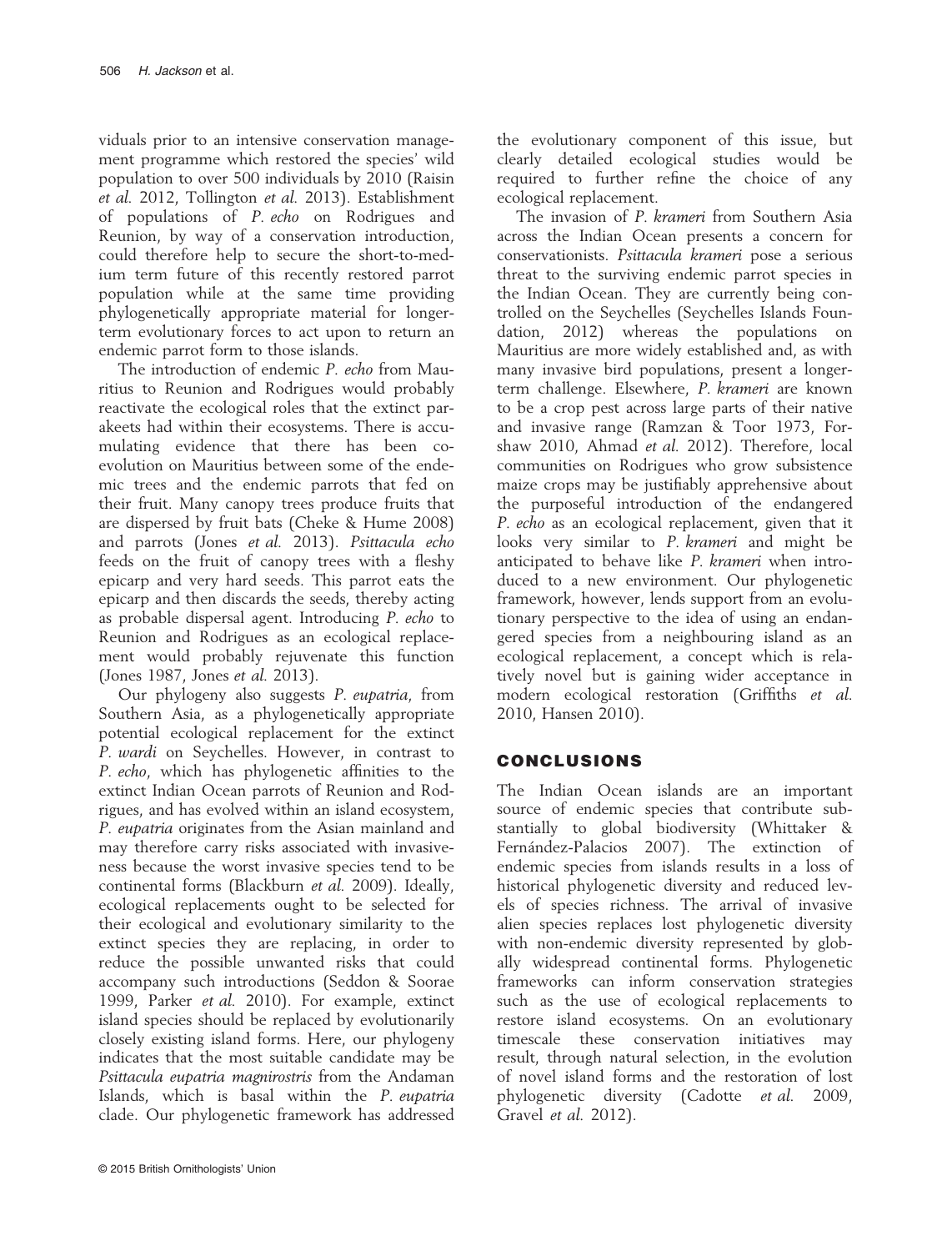viduals prior to an intensive conservation management programme which restored the species' wild population to over 500 individuals by 2010 (Raisin et al. 2012, Tollington et al. 2013). Establishment of populations of P. echo on Rodrigues and Reunion, by way of a conservation introduction, could therefore help to secure the short-to-medium term future of this recently restored parrot population while at the same time providing phylogenetically appropriate material for longerterm evolutionary forces to act upon to return an endemic parrot form to those islands.

The introduction of endemic P. echo from Mauritius to Reunion and Rodrigues would probably reactivate the ecological roles that the extinct parakeets had within their ecosystems. There is accumulating evidence that there has been coevolution on Mauritius between some of the endemic trees and the endemic parrots that fed on their fruit. Many canopy trees produce fruits that are dispersed by fruit bats (Cheke & Hume 2008) and parrots (Jones et al. 2013). Psittacula echo feeds on the fruit of canopy trees with a fleshy epicarp and very hard seeds. This parrot eats the epicarp and then discards the seeds, thereby acting as probable dispersal agent. Introducing P. echo to Reunion and Rodrigues as an ecological replacement would probably rejuvenate this function (Jones 1987, Jones et al. 2013).

Our phylogeny also suggests P. eupatria, from Southern Asia, as a phylogenetically appropriate potential ecological replacement for the extinct P. wardi on Seychelles. However, in contrast to P. echo, which has phylogenetic affinities to the extinct Indian Ocean parrots of Reunion and Rodrigues, and has evolved within an island ecosystem, P. eupatria originates from the Asian mainland and may therefore carry risks associated with invasiveness because the worst invasive species tend to be continental forms (Blackburn et al. 2009). Ideally, ecological replacements ought to be selected for their ecological and evolutionary similarity to the extinct species they are replacing, in order to reduce the possible unwanted risks that could accompany such introductions (Seddon & Soorae 1999, Parker et al. 2010). For example, extinct island species should be replaced by evolutionarily closely existing island forms. Here, our phylogeny indicates that the most suitable candidate may be Psittacula eupatria magnirostris from the Andaman Islands, which is basal within the P. eupatria clade. Our phylogenetic framework has addressed

© 2015 British Ornithologists' Union

the evolutionary component of this issue, but clearly detailed ecological studies would be required to further refine the choice of any ecological replacement.

The invasion of P. krameri from Southern Asia across the Indian Ocean presents a concern for conservationists. Psittacula krameri pose a serious threat to the surviving endemic parrot species in the Indian Ocean. They are currently being controlled on the Seychelles (Seychelles Islands Foundation, 2012) whereas the populations on Mauritius are more widely established and, as with many invasive bird populations, present a longerterm challenge. Elsewhere, P. krameri are known to be a crop pest across large parts of their native and invasive range (Ramzan & Toor 1973, Forshaw 2010, Ahmad et al. 2012). Therefore, local communities on Rodrigues who grow subsistence maize crops may be justifiably apprehensive about the purposeful introduction of the endangered P. echo as an ecological replacement, given that it looks very similar to P. krameri and might be anticipated to behave like P. krameri when introduced to a new environment. Our phylogenetic framework, however, lends support from an evolutionary perspective to the idea of using an endangered species from a neighbouring island as an ecological replacement, a concept which is relatively novel but is gaining wider acceptance in modern ecological restoration (Griffiths et al. 2010, Hansen 2010).

## CONCLUSIONS

The Indian Ocean islands are an important source of endemic species that contribute substantially to global biodiversity (Whittaker & Fernández-Palacios 2007). The extinction of endemic species from islands results in a loss of historical phylogenetic diversity and reduced levels of species richness. The arrival of invasive alien species replaces lost phylogenetic diversity with non-endemic diversity represented by globally widespread continental forms. Phylogenetic frameworks can inform conservation strategies such as the use of ecological replacements to restore island ecosystems. On an evolutionary timescale these conservation initiatives may result, through natural selection, in the evolution of novel island forms and the restoration of lost phylogenetic diversity (Cadotte et al. 2009, Gravel et al. 2012).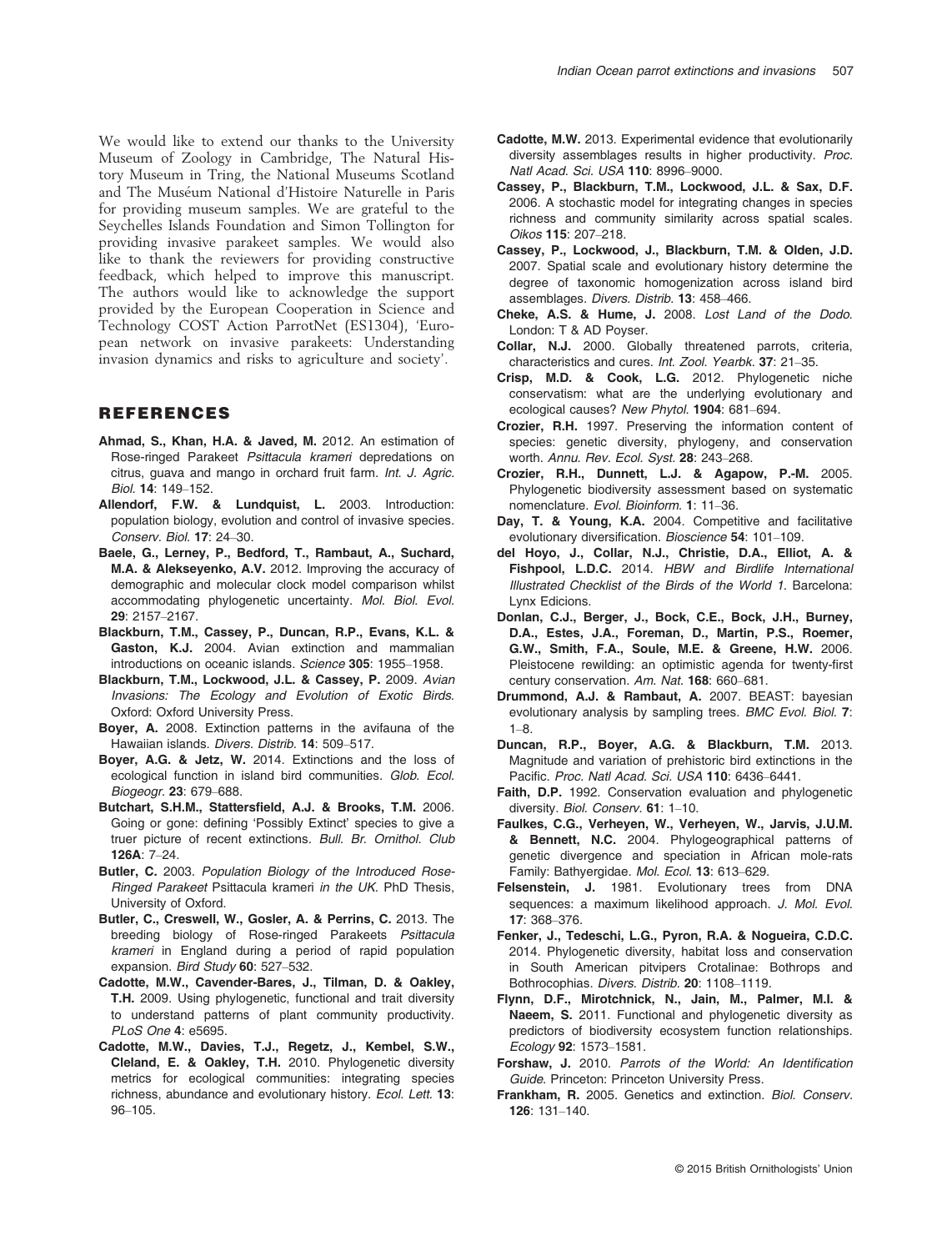We would like to extend our thanks to the University Museum of Zoology in Cambridge, The Natural History Museum in Tring, the National Museums Scotland and The Museum National d'Histoire Naturelle in Paris for providing museum samples. We are grateful to the Seychelles Islands Foundation and Simon Tollington for providing invasive parakeet samples. We would also like to thank the reviewers for providing constructive feedback, which helped to improve this manuscript. The authors would like to acknowledge the support provided by the European Cooperation in Science and Technology COST Action ParrotNet (ES1304), 'European network on invasive parakeets: Understanding invasion dynamics and risks to agriculture and society'.

#### REFERENCES

- Ahmad, S., Khan, H.A. & Javed, M. 2012. An estimation of Rose-ringed Parakeet *Psittacula krameri* depredations on citrus, guava and mango in orchard fruit farm. *Int. J. Agric. Biol.* 14: 149–152.
- Allendorf, F.W. & Lundquist, L. 2003. Introduction: population biology, evolution and control of invasive species. *Conserv. Biol.* 17: 24–30.
- Baele, G., Lerney, P., Bedford, T., Rambaut, A., Suchard, M.A. & Alekseyenko, A.V. 2012. Improving the accuracy of demographic and molecular clock model comparison whilst accommodating phylogenetic uncertainty. *Mol. Biol. Evol.* 29: 2157–2167.
- Blackburn, T.M., Cassey, P., Duncan, R.P., Evans, K.L. & Gaston, K.J. 2004. Avian extinction and mammalian introductions on oceanic islands. *Science* 305: 1955–1958.
- Blackburn, T.M., Lockwood, J.L. & Cassey, P. 2009. *Avian Invasions: The Ecology and Evolution of Exotic Birds*. Oxford: Oxford University Press.
- Boyer, A. 2008. Extinction patterns in the avifauna of the Hawaiian islands. *Divers. Distrib.* 14: 509–517.
- Boyer, A.G. & Jetz, W. 2014. Extinctions and the loss of ecological function in island bird communities. *Glob. Ecol. Biogeogr.* 23: 679–688.
- Butchart, S.H.M., Stattersfield, A.J. & Brooks, T.M. 2006. Going or gone: defining 'Possibly Extinct' species to give a truer picture of recent extinctions. *Bull. Br. Ornithol. Club* 126A: 7–24.
- Butler, C. 2003. *Population Biology of the Introduced Rose-Ringed Parakeet* Psittacula krameri *in the UK*. PhD Thesis, University of Oxford.
- Butler, C., Creswell, W., Gosler, A. & Perrins, C. 2013. The breeding biology of Rose-ringed Parakeets *Psittacula krameri* in England during a period of rapid population expansion. *Bird Study* 60: 527–532.
- Cadotte, M.W., Cavender-Bares, J., Tilman, D. & Oakley, T.H. 2009. Using phylogenetic, functional and trait diversity to understand patterns of plant community productivity. *PLoS One* 4: e5695.
- Cadotte, M.W., Davies, T.J., Regetz, J., Kembel, S.W., Cleland, E. & Oakley, T.H. 2010. Phylogenetic diversity metrics for ecological communities: integrating species richness, abundance and evolutionary history. *Ecol. Lett.* 13: 96–105.
- Cadotte, M.W. 2013. Experimental evidence that evolutionarily diversity assemblages results in higher productivity. *Proc. Natl Acad. Sci. USA* 110: 8996–9000.
- Cassey, P., Blackburn, T.M., Lockwood, J.L. & Sax, D.F. 2006. A stochastic model for integrating changes in species richness and community similarity across spatial scales. *Oikos* 115: 207–218.
- Cassey, P., Lockwood, J., Blackburn, T.M. & Olden, J.D. 2007. Spatial scale and evolutionary history determine the degree of taxonomic homogenization across island bird assemblages. *Divers. Distrib.* 13: 458–466.
- Cheke, A.S. & Hume, J. 2008. *Lost Land of the Dodo*. London: T & AD Poyser.
- Collar, N.J. 2000. Globally threatened parrots, criteria, characteristics and cures. *Int. Zool. Yearbk.* 37: 21–35.
- Crisp, M.D. & Cook, L.G. 2012. Phylogenetic niche conservatism: what are the underlying evolutionary and ecological causes? *New Phytol.* 1904: 681–694.
- Crozier, R.H. 1997. Preserving the information content of species: genetic diversity, phylogeny, and conservation worth. *Annu. Rev. Ecol. Syst.* 28: 243–268.
- Crozier, R.H., Dunnett, L.J. & Agapow, P.-M. 2005. Phylogenetic biodiversity assessment based on systematic nomenclature. *Evol. Bioinform.* 1: 11–36.
- Day, T. & Young, K.A. 2004. Competitive and facilitative evolutionary diversification. *Bioscience* 54: 101–109.
- del Hoyo, J., Collar, N.J., Christie, D.A., Elliot, A. & Fishpool, L.D.C. 2014. *HBW and Birdlife International Illustrated Checklist of the Birds of the World 1*. Barcelona: Lynx Edicions.
- Donlan, C.J., Berger, J., Bock, C.E., Bock, J.H., Burney, D.A., Estes, J.A., Foreman, D., Martin, P.S., Roemer, G.W., Smith, F.A., Soule, M.E. & Greene, H.W. 2006. Pleistocene rewilding: an optimistic agenda for twenty-first century conservation. *Am. Nat.* 168: 660–681.
- Drummond, A.J. & Rambaut, A. 2007. BEAST: bayesian evolutionary analysis by sampling trees. *BMC Evol. Biol.* 7: 1–8.
- Duncan, R.P., Boyer, A.G. & Blackburn, T.M. 2013. Magnitude and variation of prehistoric bird extinctions in the Pacific. *Proc. Natl Acad. Sci. USA* 110: 6436–6441.
- Faith, D.P. 1992. Conservation evaluation and phylogenetic diversity. *Biol. Conserv.* 61: 1–10.
- Faulkes, C.G., Verheyen, W., Verheyen, W., Jarvis, J.U.M. & Bennett, N.C. 2004. Phylogeographical patterns of genetic divergence and speciation in African mole-rats Family: Bathyergidae. *Mol. Ecol.* 13: 613–629.
- Felsenstein, J. 1981. Evolutionary trees from DNA sequences: a maximum likelihood approach. *J. Mol. Evol.* 17: 368–376.
- Fenker, J., Tedeschi, L.G., Pyron, R.A. & Nogueira, C.D.C. 2014. Phylogenetic diversity, habitat loss and conservation in South American pitvipers Crotalinae: Bothrops and Bothrocophias. *Divers. Distrib.* 20: 1108–1119.
- Flynn, D.F., Mirotchnick, N., Jain, M., Palmer, M.I. & Naeem, S. 2011. Functional and phylogenetic diversity as predictors of biodiversity ecosystem function relationships. *Ecology* 92: 1573–1581.
- Forshaw, J. 2010. *Parrots of the World: An Identi*fi*cation Guide*. Princeton: Princeton University Press.
- Frankham, R. 2005. Genetics and extinction. *Biol. Conserv.* 126: 131–140.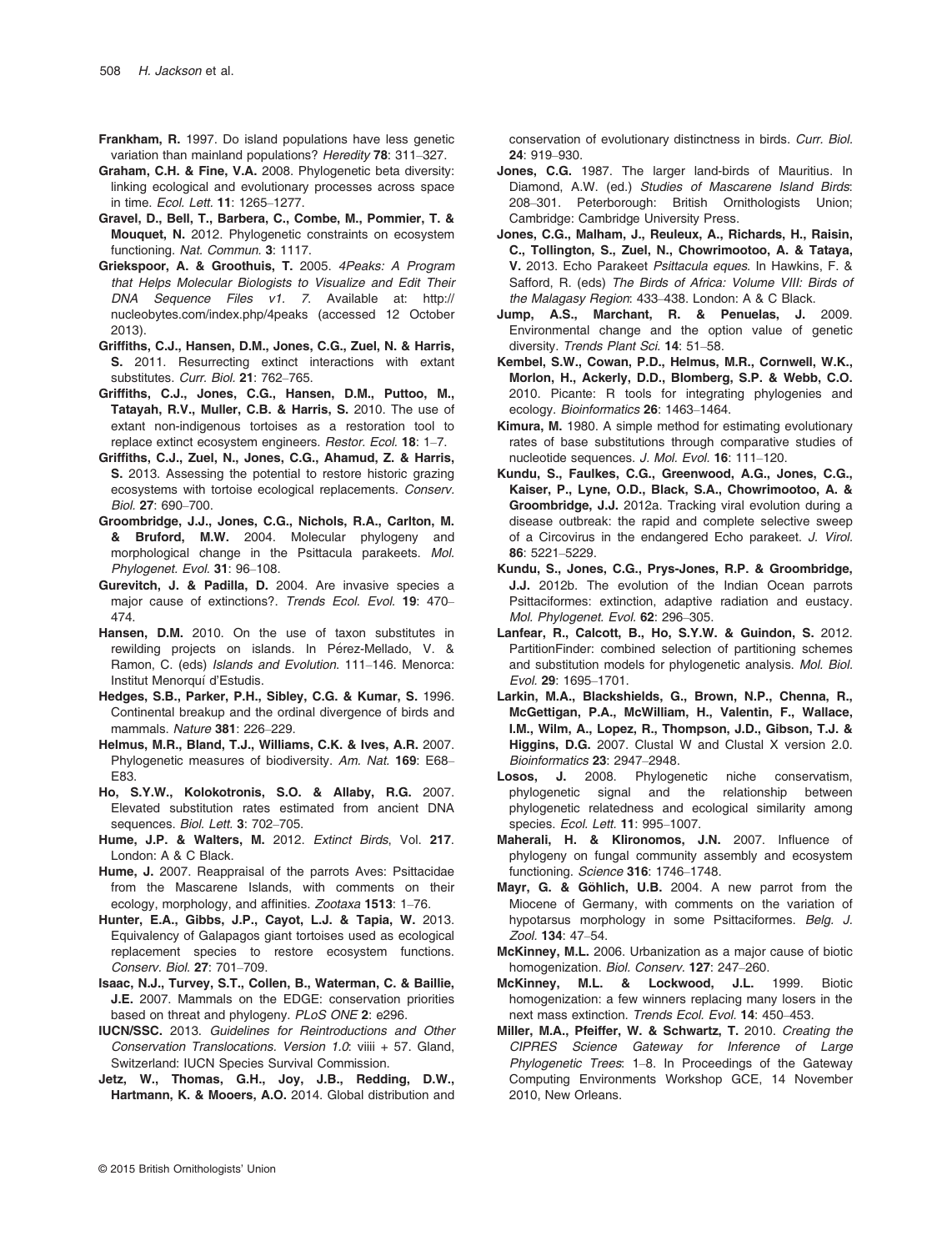- Frankham, R. 1997. Do island populations have less genetic variation than mainland populations? *Heredity* 78: 311–327.
- Graham, C.H. & Fine, V.A. 2008. Phylogenetic beta diversity: linking ecological and evolutionary processes across space in time. *Ecol. Lett.* 11: 1265–1277.
- Gravel, D., Bell, T., Barbera, C., Combe, M., Pommier, T. & Mouquet, N. 2012. Phylogenetic constraints on ecosystem functioning. *Nat. Commun.* 3: 1117.
- Griekspoor, A. & Groothuis, T. 2005. *4Peaks: A Program that Helps Molecular Biologists to Visualize and Edit Their DNA Sequence Files v1. 7*. Available at: [http://](http://nucleobytes.com/index.php/4peaks) [nucleobytes.com/index.php/4peaks](http://nucleobytes.com/index.php/4peaks) (accessed 12 October 2013).
- Griffiths, C.J., Hansen, D.M., Jones, C.G., Zuel, N. & Harris, S. 2011. Resurrecting extinct interactions with extant substitutes. *Curr. Biol.* 21: 762–765.
- Griffiths, C.J., Jones, C.G., Hansen, D.M., Puttoo, M., Tatayah, R.V., Muller, C.B. & Harris, S. 2010. The use of extant non-indigenous tortoises as a restoration tool to replace extinct ecosystem engineers. *Restor. Ecol.* 18: 1–7.
- Griffiths, C.J., Zuel, N., Jones, C.G., Ahamud, Z. & Harris, S. 2013. Assessing the potential to restore historic grazing ecosystems with tortoise ecological replacements. *Conserv. Biol.* 27: 690–700.
- Groombridge, J.J., Jones, C.G., Nichols, R.A., Carlton, M. & Bruford, M.W. 2004. Molecular phylogeny and morphological change in the Psittacula parakeets. *Mol. Phylogenet. Evol.* 31: 96–108.
- Gurevitch, J. & Padilla, D. 2004. Are invasive species a major cause of extinctions?. *Trends Ecol. Evol.* 19: 470– 474.
- Hansen, D.M. 2010. On the use of taxon substitutes in rewilding projects on islands. In Pérez-Mellado, V. & Ramon, C. (eds) *Islands and Evolution*. 111–146. Menorca: Institut Menorquí d'Estudis.
- Hedges, S.B., Parker, P.H., Sibley, C.G. & Kumar, S. 1996. Continental breakup and the ordinal divergence of birds and mammals. *Nature* 381: 226–229.
- Helmus, M.R., Bland, T.J., Williams, C.K. & Ives, A.R. 2007. Phylogenetic measures of biodiversity. *Am. Nat.* 169: E68– E83.
- Ho, S.Y.W., Kolokotronis, S.O. & Allaby, R.G. 2007. Elevated substitution rates estimated from ancient DNA sequences. *Biol. Lett.* 3: 702–705.
- Hume, J.P. & Walters, M. 2012. *Extinct Birds*, Vol. 217. London: A & C Black.
- Hume, J. 2007. Reappraisal of the parrots Aves: Psittacidae from the Mascarene Islands, with comments on their ecology, morphology, and affinities. *Zootaxa* 1513: 1–76.
- Hunter, E.A., Gibbs, J.P., Cayot, L.J. & Tapia, W. 2013. Equivalency of Galapagos giant tortoises used as ecological replacement species to restore ecosystem functions. *Conserv. Biol.* 27: 701–709.
- Isaac, N.J., Turvey, S.T., Collen, B., Waterman, C. & Baillie, J.E. 2007. Mammals on the EDGE: conservation priorities based on threat and phylogeny. *PLoS ONE* 2: e296.
- IUCN/SSC. 2013. *Guidelines for Reintroductions and Other Conservation Translocations. Version 1.0*: viiii + 57. Gland, Switzerland: IUCN Species Survival Commission.
- Jetz, W., Thomas, G.H., Joy, J.B., Redding, D.W., Hartmann, K. & Mooers, A.O. 2014. Global distribution and

conservation of evolutionary distinctness in birds. *Curr. Biol.* 24: 919–930.

- Jones, C.G. 1987. The larger land-birds of Mauritius. In Diamond, A.W. (ed.) *Studies of Mascarene Island Birds*: 208–301. Peterborough: British Ornithologists Union; Cambridge: Cambridge University Press.
- Jones, C.G., Malham, J., Reuleux, A., Richards, H., Raisin, C., Tollington, S., Zuel, N., Chowrimootoo, A. & Tataya, V. 2013. Echo Parakeet *Psittacula eques*. In Hawkins, F. & Safford, R. (eds) *The Birds of Africa: Volume VIII: Birds of the Malagasy Region*: 433–438. London: A & C Black.
- Jump, A.S., Marchant, R. & Penuelas, J. 2009. Environmental change and the option value of genetic diversity. *Trends Plant Sci.* 14: 51–58.
- Kembel, S.W., Cowan, P.D., Helmus, M.R., Cornwell, W.K., Morlon, H., Ackerly, D.D., Blomberg, S.P. & Webb, C.O. 2010. Picante: R tools for integrating phylogenies and ecology. *Bioinformatics* 26: 1463–1464.
- Kimura, M. 1980. A simple method for estimating evolutionary rates of base substitutions through comparative studies of nucleotide sequences. *J. Mol. Evol.* 16: 111–120.
- Kundu, S., Faulkes, C.G., Greenwood, A.G., Jones, C.G., Kaiser, P., Lyne, O.D., Black, S.A., Chowrimootoo, A. & Groombridge, J.J. 2012a. Tracking viral evolution during a disease outbreak: the rapid and complete selective sweep of a Circovirus in the endangered Echo parakeet. *J. Virol.* 86: 5221–5229.
- Kundu, S., Jones, C.G., Prys-Jones, R.P. & Groombridge, J.J. 2012b. The evolution of the Indian Ocean parrots Psittaciformes: extinction, adaptive radiation and eustacy. *Mol. Phylogenet. Evol.* 62: 296–305.
- Lanfear, R., Calcott, B., Ho, S.Y.W. & Guindon, S. 2012. PartitionFinder: combined selection of partitioning schemes and substitution models for phylogenetic analysis. *Mol. Biol. Evol.* 29: 1695–1701.
- Larkin, M.A., Blackshields, G., Brown, N.P., Chenna, R., McGettigan, P.A., McWilliam, H., Valentin, F., Wallace, I.M., Wilm, A., Lopez, R., Thompson, J.D., Gibson, T.J. & Higgins, D.G. 2007. Clustal W and Clustal X version 2.0. *Bioinformatics* 23: 2947–2948.
- Losos, J. 2008. Phylogenetic niche conservatism, phylogenetic signal and the relationship between phylogenetic relatedness and ecological similarity among species. *Ecol. Lett.* 11: 995–1007.
- Maherali, H. & Klironomos, J.N. 2007. Influence of phylogeny on fungal community assembly and ecosystem functioning. *Science* 316: 1746–1748.
- Mayr, G. & Göhlich, U.B. 2004. A new parrot from the Miocene of Germany, with comments on the variation of hypotarsus morphology in some Psittaciformes. *Belg. J. Zool.* 134: 47–54.
- McKinney, M.L. 2006. Urbanization as a major cause of biotic homogenization. *Biol. Conserv.* 127: 247–260.
- McKinney, M.L. & Lockwood, J.L. 1999. Biotic homogenization: a few winners replacing many losers in the next mass extinction. *Trends Ecol. Evol.* 14: 450–453.
- Miller, M.A., Pfeiffer, W. & Schwartz, T. 2010. *Creating the CIPRES Science Gateway for Inference of Large Phylogenetic Trees*: 1–8. In Proceedings of the Gateway Computing Environments Workshop GCE, 14 November 2010, New Orleans.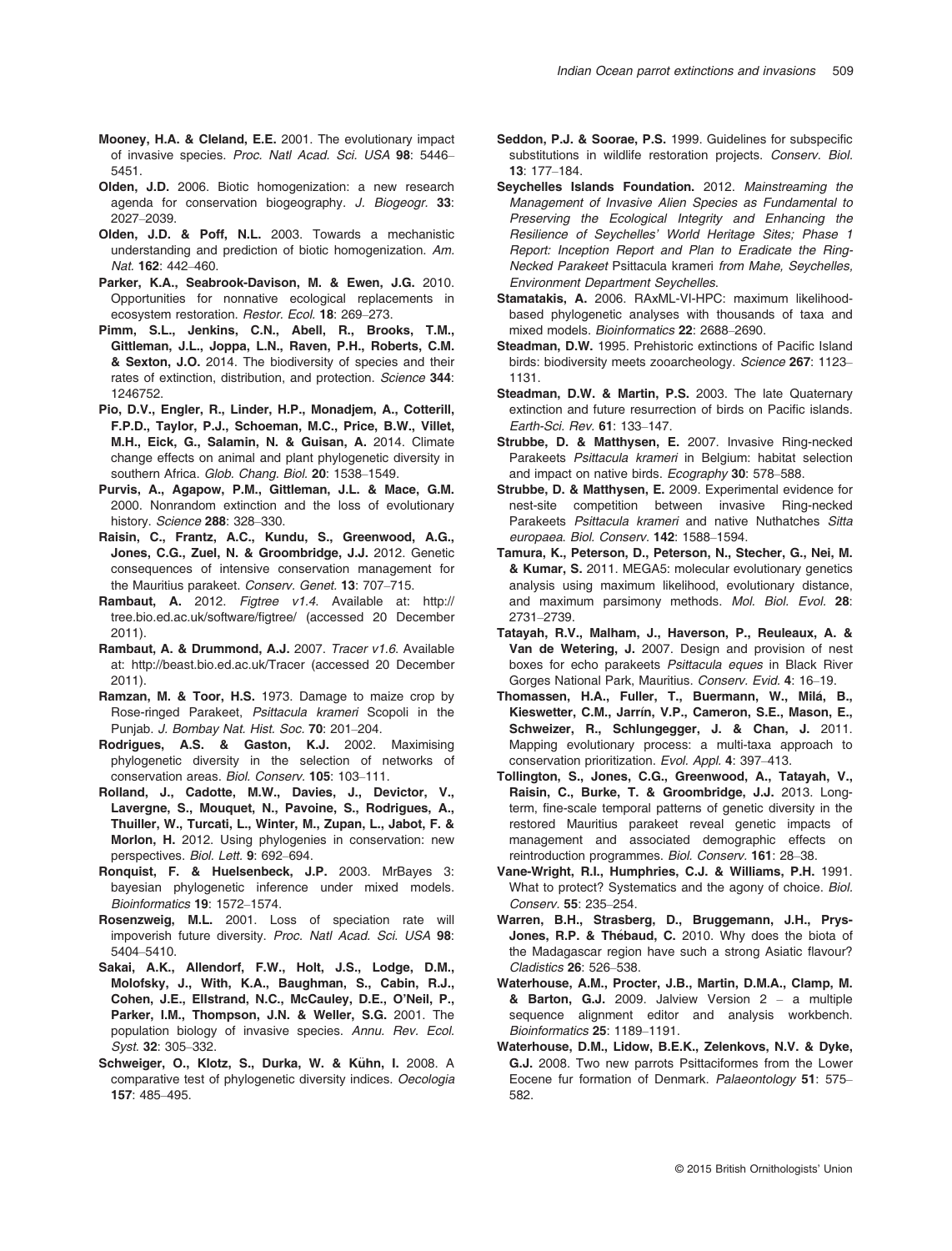- Mooney, H.A. & Cleland, E.E. 2001. The evolutionary impact of invasive species. *Proc. Natl Acad. Sci. USA* 98: 5446– 5451.
- Olden, J.D. 2006. Biotic homogenization: a new research agenda for conservation biogeography. *J. Biogeogr.* 33: 2027–2039.
- Olden, J.D. & Poff, N.L. 2003. Towards a mechanistic understanding and prediction of biotic homogenization. *Am. Nat.* 162: 442–460.
- Parker, K.A., Seabrook-Davison, M. & Ewen, J.G. 2010. Opportunities for nonnative ecological replacements in ecosystem restoration. *Restor. Ecol.* 18: 269–273.
- Pimm, S.L., Jenkins, C.N., Abell, R., Brooks, T.M., Gittleman, J.L., Joppa, L.N., Raven, P.H., Roberts, C.M. & Sexton, J.O. 2014. The biodiversity of species and their rates of extinction, distribution, and protection. *Science* 344: 1246752.
- Pio, D.V., Engler, R., Linder, H.P., Monadjem, A., Cotterill, F.P.D., Taylor, P.J., Schoeman, M.C., Price, B.W., Villet, M.H., Eick, G., Salamin, N. & Guisan, A. 2014. Climate change effects on animal and plant phylogenetic diversity in southern Africa. *Glob. Chang. Biol.* 20: 1538–1549.
- Purvis, A., Agapow, P.M., Gittleman, J.L. & Mace, G.M. 2000. Nonrandom extinction and the loss of evolutionary history. *Science* 288: 328–330.
- Raisin, C., Frantz, A.C., Kundu, S., Greenwood, A.G., Jones, C.G., Zuel, N. & Groombridge, J.J. 2012. Genetic consequences of intensive conservation management for the Mauritius parakeet. *Conserv. Genet.* 13: 707–715.
- Rambaut, A. 2012. *Figtree v1.4*. Available at: [http://](http://tree.bio.ed.ac.uk/software/figtree/) [tree.bio.ed.ac.uk/software/](http://tree.bio.ed.ac.uk/software/figtree/)figtree/ (accessed 20 December 2011).
- Rambaut, A. & Drummond, A.J. 2007. *Tracer v1.6*. Available at:<http://beast.bio.ed.ac.uk/Tracer> (accessed 20 December 2011).
- Ramzan, M. & Toor, H.S. 1973. Damage to maize crop by Rose-ringed Parakeet, *Psittacula krameri* Scopoli in the Punjab. *J. Bombay Nat. Hist. Soc.* 70: 201–204.
- Rodrigues, A.S. & Gaston, K.J. 2002. Maximising phylogenetic diversity in the selection of networks of conservation areas. *Biol. Conserv.* 105: 103–111.
- Rolland, J., Cadotte, M.W., Davies, J., Devictor, V., Lavergne, S., Mouquet, N., Pavoine, S., Rodrigues, A., Thuiller, W., Turcati, L., Winter, M., Zupan, L., Jabot, F. & Morlon, H. 2012. Using phylogenies in conservation: new perspectives. *Biol. Lett.* 9: 692–694.
- Ronquist, F. & Huelsenbeck, J.P. 2003. MrBayes 3: bayesian phylogenetic inference under mixed models. *Bioinformatics* 19: 1572–1574.
- Rosenzweig, M.L. 2001. Loss of speciation rate will impoverish future diversity. *Proc. Natl Acad. Sci. USA* 98: 5404–5410.
- Sakai, A.K., Allendorf, F.W., Holt, J.S., Lodge, D.M., Molofsky, J., With, K.A., Baughman, S., Cabin, R.J., Cohen, J.E., Ellstrand, N.C., McCauley, D.E., O'Neil, P., Parker, I.M., Thompson, J.N. & Weller, S.G. 2001. The population biology of invasive species. *Annu. Rev. Ecol. Syst.* 32: 305–332.
- Schweiger, O., Klotz, S., Durka, W. & Kühn, I. 2008. A comparative test of phylogenetic diversity indices. *Oecologia* 157: 485–495.
- Seddon, P.J. & Soorae, P.S. 1999. Guidelines for subspecific substitutions in wildlife restoration projects. *Conserv. Biol.* 13: 177–184.
- Seychelles Islands Foundation. 2012. *Mainstreaming the Management of Invasive Alien Species as Fundamental to Preserving the Ecological Integrity and Enhancing the Resilience of Seychelles*' *World Heritage Sites; Phase 1 Report: Inception Report and Plan to Eradicate the Ring-Necked Parakeet* Psittacula krameri *from Mahe, Seychelles, Environment Department Seychelles*.
- Stamatakis, A. 2006. RAxML-VI-HPC: maximum likelihoodbased phylogenetic analyses with thousands of taxa and mixed models. *Bioinformatics* 22: 2688–2690.
- Steadman, D.W. 1995. Prehistoric extinctions of Pacific Island birds: biodiversity meets zooarcheology. *Science* 267: 1123– 1131.
- Steadman, D.W. & Martin, P.S. 2003. The late Quaternary extinction and future resurrection of birds on Pacific islands. *Earth-Sci. Rev.* 61: 133–147.
- Strubbe, D. & Matthysen, E. 2007. Invasive Ring-necked Parakeets *Psittacula krameri* in Belgium: habitat selection and impact on native birds. *Ecography* 30: 578–588.
- Strubbe, D. & Matthysen, E. 2009. Experimental evidence for nest-site competition between invasive Ring-necked Parakeets *Psittacula krameri* and native Nuthatches *Sitta europaea*. *Biol. Conserv.* 142: 1588–1594.
- Tamura, K., Peterson, D., Peterson, N., Stecher, G., Nei, M. & Kumar, S. 2011. MEGA5: molecular evolutionary genetics analysis using maximum likelihood, evolutionary distance, and maximum parsimony methods. *Mol. Biol. Evol.* 28: 2731–2739.
- Tatayah, R.V., Malham, J., Haverson, P., Reuleaux, A. & Van de Wetering, J. 2007. Design and provision of nest boxes for echo parakeets *Psittacula eques* in Black River Gorges National Park, Mauritius. *Conserv. Evid.* 4: 16–19.
- Thomassen, H.A., Fuller, T., Buermann, W., Milá, B., Kieswetter, C.M., Jarrín, V.P., Cameron, S.E., Mason, E., Schweizer, R., Schlungegger, J. & Chan, J. 2011. Mapping evolutionary process: a multi-taxa approach to conservation prioritization. *Evol. Appl.* 4: 397–413.
- Tollington, S., Jones, C.G., Greenwood, A., Tatayah, V., Raisin, C., Burke, T. & Groombridge, J.J. 2013. Longterm, fine-scale temporal patterns of genetic diversity in the restored Mauritius parakeet reveal genetic impacts of management and associated demographic effects on reintroduction programmes. *Biol. Conserv.* 161: 28–38.
- Vane-Wright, R.I., Humphries, C.J. & Williams, P.H. 1991. What to protect? Systematics and the agony of choice. *Biol. Conserv.* 55: 235–254.
- Warren, B.H., Strasberg, D., Bruggemann, J.H., Prys-Jones, R.P. & Thebaud, C. 2010. Why does the biota of the Madagascar region have such a strong Asiatic flavour? *Cladistics* 26: 526–538.
- Waterhouse, A.M., Procter, J.B., Martin, D.M.A., Clamp, M. & Barton, G.J. 2009. Jalview Version 2 – a multiple sequence alignment editor and analysis workbench. *Bioinformatics* 25: 1189–1191.
- Waterhouse, D.M., Lidow, B.E.K., Zelenkovs, N.V. & Dyke, G.J. 2008. Two new parrots Psittaciformes from the Lower Eocene fur formation of Denmark. *Palaeontology* 51: 575– 582.